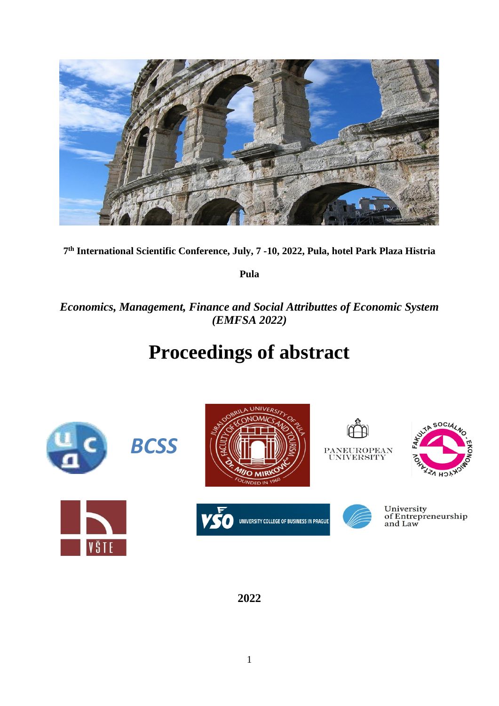

**7 th International Scientific Conference, July, 7 -10, 2022, Pula, hotel Park Plaza Histria** 

**Pula**

*Economics, Management, Finance and Social Attributtes of Economic System (EMFSA 2022)*

# **Proceedings of abstract**



**2022**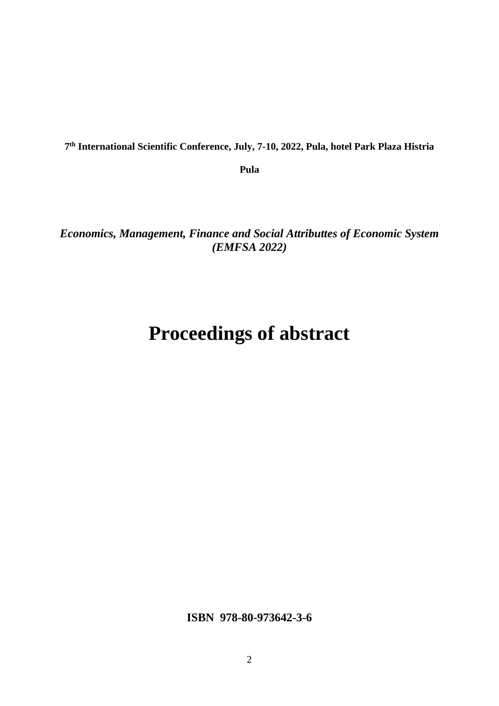**7 th International Scientific Conference, July, 7-10, 2022, Pula, hotel Park Plaza Histria** 

**Pula**

*Economics, Management, Finance and Social Attributtes of Economic System (EMFSA 2022)*

# **Proceedings of abstract**

**ISBN 978-80-973642-3-6**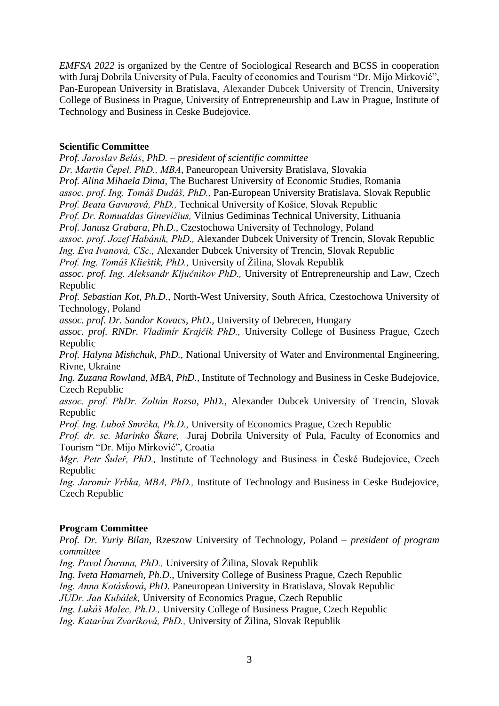*EMFSA 2022* is organized by the Centre of Sociological Research and BCSS in cooperation with Juraj Dobrila University of Pula, Faculty of economics and Tourism "Dr. Mijo Mirković", Pan-European University in Bratislava, Alexander Dubcek University of Trencin, University College of Business in Prague, University of Entrepreneurship and Law in Prague, Institute of Technology and Business in Ceske Budejovice.

# **Scientific Committee**

*Prof. Jaroslav Belás, PhD.* – *president of scientific committee Dr. Martin Čepel, PhD., MBA,* Paneuropean University Bratislava, Slovakia *Prof. Alina Mihaela Dima,* The Bucharest University of Economic Studies, Romania *assoc. prof. Ing. Tomáš Dudáš, PhD.,* Pan-European University Bratislava, Slovak Republic *Prof. Beata Gavurová, PhD.,* Technical University of Košice, Slovak Republic *Prof. Dr. Romualdas Ginevičius,* Vilnius Gediminas Technical University, Lithuania *Prof. Janusz Grabara, Ph.D.,* Czestochowa University of Technology, Poland *assoc. prof. Jozef Habánik, PhD.,* Alexander Dubcek University of Trencin, Slovak Republic *Ing. Eva Ivanová, CSc.,* Alexander Dubcek University of Trencin, Slovak Republic *Prof. Ing. Tomáš Klieštik, PhD.,* University of Žilina, Slovak Republik *assoc. prof. Ing. Aleksandr Ključnikov PhD.,* University of Entrepreneurship and Law, Czech Republic *Prof. Sebastian Kot, Ph.D.,* North-West University, South Africa, Czestochowa University of Technology, Poland *assoc. prof. Dr. Sandor Kovacs, PhD.,* University of Debrecen, Hungary *assoc. prof. RNDr. Vladimír Krajčík PhD.,* University College of Business Prague, Czech Republic *Prof. Halyna Mishchuk, PhD.,* National University of Water and Environmental Engineering, Rivne, Ukraine *Ing. Zuzana Rowland, MBA, PhD.,* Institute of Technology and Business in Ceske Budejovice, Czech Republic *assoc. prof. PhDr. Zoltán Rozsa, PhD.,* Alexander Dubcek University of Trencin, Slovak Republic *Prof. Ing. Luboš Smrčka, Ph.D.,* University of Economics Prague, Czech Republic *Prof. dr. sc. Marinko Škare,* Juraj Dobrila University of Pula, Faculty of Economics and Tourism "Dr. Mijo Mirković", Croatia *Mgr. Petr Šuleř, PhD.,* Institute of Technology and Business in České Budejovice, Czech Republic

*Ing. Jaromír Vrbka, MBA, PhD.,* Institute of Technology and Business in Ceske Budejovice, Czech Republic

# **Program Committee**

*Prof. Dr. Yuriy Bilan,* Rzeszow University of Technology, Poland – *president of program committee*

*Ing. Pavol Ďurana, PhD.,* University of Žilina, Slovak Republik

*Ing. Iveta Hamarneh, Ph.D.,* University College of Business Prague, Czech Republic

*Ing. Anna Kotásková*, *PhD.* Paneuropean University in Bratislava, Slovak Republic

*JUDr. Jan Kubálek,* University of Economics Prague, Czech Republic

*Ing. Lukáš Malec, Ph.D.,* University College of Business Prague, Czech Republic

*Ing. Katarína Zvaríková, PhD.,* University of Žilina, Slovak Republik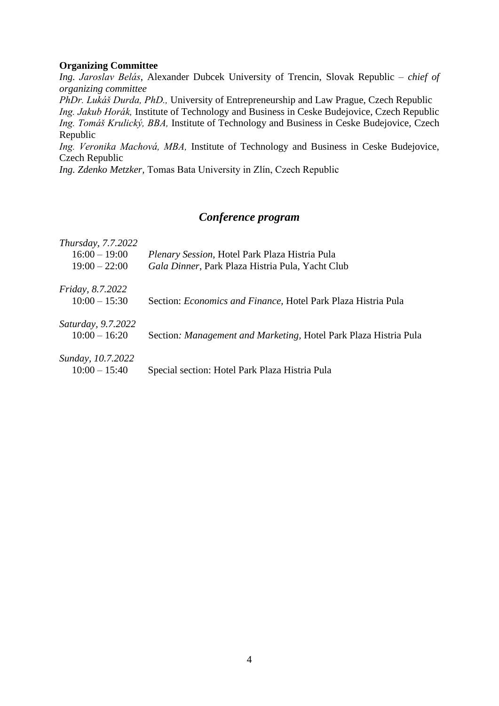### **Organizing Committee**

*Ing. Jaroslav Belás*, Alexander Dubcek University of Trencin, Slovak Republic – *chief of organizing committee*

*PhDr. Lukáš Durda, PhD.,* University of Entrepreneurship and Law Prague, Czech Republic *Ing. Jakub Horák,* Institute of Technology and Business in Ceske Budejovice, Czech Republic *Ing. Tomáš Krulický, BBA,* Institute of Technology and Business in Ceske Budejovice, Czech Republic

*Ing. Veronika Machová, MBA,* Institute of Technology and Business in Ceske Budejovice, Czech Republic

*Ing. Zdenko Metzker,* Tomas Bata University in Zlín, Czech Republic

# *Conference program*

| Thursday, 7.7.2022<br>$16:00 - 19:00$<br>$19:00 - 22:00$ | <i>Plenary Session, Hotel Park Plaza Histria Pula</i><br>Gala Dinner, Park Plaza Histria Pula, Yacht Club |
|----------------------------------------------------------|-----------------------------------------------------------------------------------------------------------|
| <i>Friday</i> , 8.7.2022<br>$10:00 - 15:30$              | Section: <i>Economics and Finance</i> , Hotel Park Plaza Histria Pula                                     |
| Saturday, 9.7.2022<br>$10:00 - 16:20$                    | Section: <i>Management and Marketing</i> , Hotel Park Plaza Histria Pula                                  |
| Sunday, 10.7.2022<br>$10:00 - 15:40$                     | Special section: Hotel Park Plaza Histria Pula                                                            |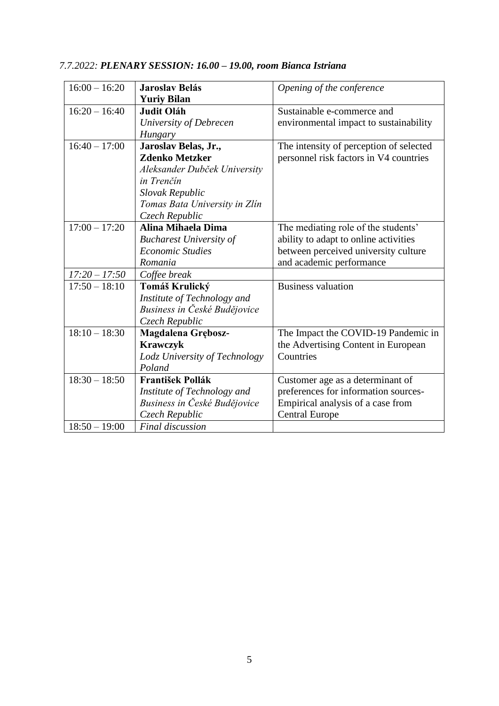| $16:00 - 16:20$ | <b>Jaroslav Belás</b>          | Opening of the conference               |
|-----------------|--------------------------------|-----------------------------------------|
|                 | <b>Yuriy Bilan</b>             |                                         |
| $16:20 - 16:40$ | <b>Judit Oláh</b>              | Sustainable e-commerce and              |
|                 | University of Debrecen         | environmental impact to sustainability  |
|                 | Hungary                        |                                         |
| $16:40 - 17:00$ | Jaroslav Belas, Jr.,           | The intensity of perception of selected |
|                 | <b>Zdenko Metzker</b>          | personnel risk factors in V4 countries  |
|                 | Aleksander Dubček University   |                                         |
|                 | in Trenčín                     |                                         |
|                 | Slovak Republic                |                                         |
|                 | Tomas Bata University in Zlín  |                                         |
|                 | Czech Republic                 |                                         |
| $17:00 - 17:20$ | Alina Mihaela Dima             | The mediating role of the students'     |
|                 | <b>Bucharest University of</b> | ability to adapt to online activities   |
|                 | <b>Economic Studies</b>        | between perceived university culture    |
|                 | Romania                        | and academic performance                |
| $17:20 - 17:50$ | Coffee break                   |                                         |
| $17:50 - 18:10$ | Tomáš Krulický                 | <b>Business valuation</b>               |
|                 | Institute of Technology and    |                                         |
|                 | Business in České Budějovice   |                                         |
|                 | Czech Republic                 |                                         |
| $18:10 - 18:30$ | Magdalena Grębosz-             | The Impact the COVID-19 Pandemic in     |
|                 | <b>Krawczyk</b>                | the Advertising Content in European     |
|                 | Lodz University of Technology  | Countries                               |
|                 | Poland                         |                                         |
| $18:30 - 18:50$ | <b>František Pollák</b>        | Customer age as a determinant of        |
|                 | Institute of Technology and    | preferences for information sources-    |
|                 | Business in České Budějovice   | Empirical analysis of a case from       |
|                 | Czech Republic                 | <b>Central Europe</b>                   |
| $18:50 - 19:00$ | <b>Final discussion</b>        |                                         |

# *7.7.2022: PLENARY SESSION: 16.00 – 19.00, room Bianca Istriana*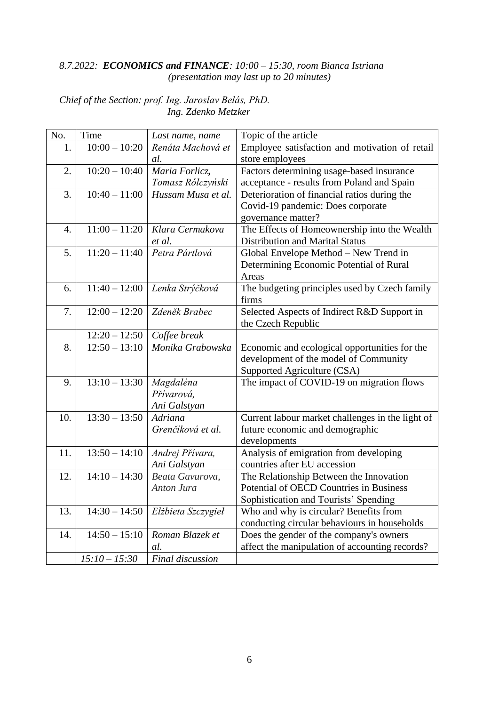# *8.7.2022: ECONOMICS and FINANCE: 10:00 – 15:30, room Bianca Istriana (presentation may last up to 20 minutes)*

*Chief of the Section: prof. Ing. Jaroslav Belás, PhD. Ing. Zdenko Metzker*

| No. | Time            | Last name, name    | Topic of the article                             |  |  |
|-----|-----------------|--------------------|--------------------------------------------------|--|--|
| 1.  | $10:00 - 10:20$ | Renáta Machová et  | Employee satisfaction and motivation of retail   |  |  |
|     |                 | al.                | store employees                                  |  |  |
| 2.  | $10:20 - 10:40$ | Maria Forlicz,     | Factors determining usage-based insurance        |  |  |
|     |                 | Tomasz Rólczyński  | acceptance - results from Poland and Spain       |  |  |
| 3.  | $10:40 - 11:00$ | Hussam Musa et al. | Deterioration of financial ratios during the     |  |  |
|     |                 |                    | Covid-19 pandemic: Does corporate                |  |  |
|     |                 |                    | governance matter?                               |  |  |
| 4.  | $11:00 - 11:20$ | Klara Cermakova    | The Effects of Homeownership into the Wealth     |  |  |
|     |                 | et al.             | <b>Distribution and Marital Status</b>           |  |  |
| 5.  | $11:20 - 11:40$ | Petra Pártlová     | Global Envelope Method - New Trend in            |  |  |
|     |                 |                    | Determining Economic Potential of Rural          |  |  |
|     |                 |                    | Areas                                            |  |  |
| 6.  | $11:40 - 12:00$ | Lenka Strýčková    | The budgeting principles used by Czech family    |  |  |
|     |                 |                    | firms                                            |  |  |
| 7.  | $12:00 - 12:20$ | Zdeněk Brabec      | Selected Aspects of Indirect R&D Support in      |  |  |
|     |                 |                    | the Czech Republic                               |  |  |
|     | $12:20 - 12:50$ | Coffee break       |                                                  |  |  |
| 8.  | $12:50 - 13:10$ | Monika Grabowska   | Economic and ecological opportunities for the    |  |  |
|     |                 |                    | development of the model of Community            |  |  |
|     |                 |                    | Supported Agriculture (CSA)                      |  |  |
| 9.  | $13:10 - 13:30$ | Magdaléna          | The impact of COVID-19 on migration flows        |  |  |
|     |                 | Přívarová,         |                                                  |  |  |
|     |                 | Ani Galstyan       |                                                  |  |  |
| 10. | $13:30 - 13:50$ | Adriana            | Current labour market challenges in the light of |  |  |
|     |                 | Grenčíková et al.  | future economic and demographic                  |  |  |
|     |                 |                    | developments                                     |  |  |
| 11. | $13:50 - 14:10$ | Andrej Přívara,    | Analysis of emigration from developing           |  |  |
|     |                 | Ani Galstyan       | countries after EU accession                     |  |  |
| 12. | $14:10 - 14:30$ | Beata Gavurova,    | The Relationship Between the Innovation          |  |  |
|     |                 | Anton Jura         | Potential of OECD Countries in Business          |  |  |
|     |                 |                    | Sophistication and Tourists' Spending            |  |  |
| 13. | $14:30 - 14:50$ | Elżbieta Szczygieł | Who and why is circular? Benefits from           |  |  |
|     |                 |                    | conducting circular behaviours in households     |  |  |
| 14. | $14:50 - 15:10$ | Roman Blazek et    | Does the gender of the company's owners          |  |  |
|     |                 | al.                | affect the manipulation of accounting records?   |  |  |
|     | $15:10 - 15:30$ | Final discussion   |                                                  |  |  |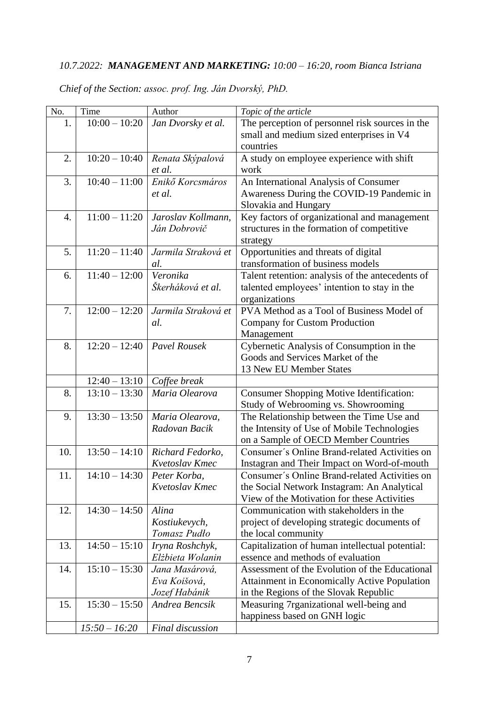# *10.7.2022: MANAGEMENT AND MARKETING: 10:00 – 16:20, room Bianca Istriana*

| No. | Time            | Author                             | Topic of the article                                                                |  |  |
|-----|-----------------|------------------------------------|-------------------------------------------------------------------------------------|--|--|
| 1.  | $10:00 - 10:20$ | Jan Dvorsky et al.                 | The perception of personnel risk sources in the                                     |  |  |
|     |                 |                                    | small and medium sized enterprises in V4                                            |  |  |
|     |                 |                                    | countries                                                                           |  |  |
| 2.  | $10:20 - 10:40$ | Renata Skýpalová                   | A study on employee experience with shift                                           |  |  |
|     |                 | et al.                             | work                                                                                |  |  |
| 3.  | $10:40 - 11:00$ | Enikő Korcsmáros                   | An International Analysis of Consumer                                               |  |  |
|     |                 | et al.                             | Awareness During the COVID-19 Pandemic in                                           |  |  |
|     |                 |                                    | Slovakia and Hungary                                                                |  |  |
| 4.  | $11:00 - 11:20$ | Jaroslav Kollmann,                 | Key factors of organizational and management                                        |  |  |
|     |                 | Ján Dobrovič                       | structures in the formation of competitive                                          |  |  |
|     |                 |                                    | strategy                                                                            |  |  |
| 5.  | $11:20 - 11:40$ | Jarmila Straková et                | Opportunities and threats of digital                                                |  |  |
|     |                 | al.                                | transformation of business models                                                   |  |  |
| 6.  | $11:40 - 12:00$ | Veronika                           | Talent retention: analysis of the antecedents of                                    |  |  |
|     |                 | Škerháková et al.                  | talented employees' intention to stay in the                                        |  |  |
|     |                 |                                    | organizations                                                                       |  |  |
| 7.  | $12:00 - 12:20$ | Jarmila Straková et                | PVA Method as a Tool of Business Model of                                           |  |  |
|     |                 | al.                                | Company for Custom Production                                                       |  |  |
|     |                 |                                    | Management                                                                          |  |  |
| 8.  | $12:20 - 12:40$ | <b>Pavel Rousek</b>                | Cybernetic Analysis of Consumption in the                                           |  |  |
|     |                 |                                    | Goods and Services Market of the                                                    |  |  |
|     |                 |                                    | 13 New EU Member States                                                             |  |  |
|     | $12:40 - 13:10$ | Coffee break                       |                                                                                     |  |  |
| 8.  | $13:10 - 13:30$ | Maria Olearova                     | <b>Consumer Shopping Motive Identification:</b>                                     |  |  |
|     |                 |                                    | Study of Webrooming vs. Showrooming                                                 |  |  |
| 9.  | $13:30 - 13:50$ | Maria Olearova,                    | The Relationship between the Time Use and                                           |  |  |
|     |                 | Radovan Bacik                      | the Intensity of Use of Mobile Technologies                                         |  |  |
|     |                 |                                    | on a Sample of OECD Member Countries                                                |  |  |
| 10. | $13:50 - 14:10$ | Richard Fedorko,                   | Consumer's Online Brand-related Activities on                                       |  |  |
|     |                 | Kvetoslav Kmec                     | Instagran and Their Impact on Word-of-mouth                                         |  |  |
| 11. | $14:10 - 14:30$ | Peter Korba,                       | Consumer's Online Brand-related Activities on                                       |  |  |
|     |                 | Kvetoslav Kmec                     | the Social Network Instagram: An Analytical                                         |  |  |
|     |                 |                                    | View of the Motivation for these Activities                                         |  |  |
| 12. | $14:30 - 14:50$ | Alina                              | Communication with stakeholders in the                                              |  |  |
|     |                 | Kostiukevych,                      | project of developing strategic documents of                                        |  |  |
|     |                 | Tomasz Pudło                       | the local community                                                                 |  |  |
| 13. | $14:50 - 15:10$ | Iryna Roshchyk,                    | Capitalization of human intellectual potential:                                     |  |  |
| 14. | $15:10 - 15:30$ | Elżbieta Wolanin<br>Jana Masárová, | essence and methods of evaluation<br>Assessment of the Evolution of the Educational |  |  |
|     |                 | Eva Koišová,                       |                                                                                     |  |  |
|     |                 |                                    | <b>Attainment in Economically Active Population</b>                                 |  |  |
| 15. | $15:30 - 15:50$ | Jozef Habánik<br>Andrea Bencsik    | in the Regions of the Slovak Republic                                               |  |  |
|     |                 |                                    | Measuring 7rganizational well-being and                                             |  |  |
|     | $15:50 - 16:20$ | Final discussion                   | happiness based on GNH logic                                                        |  |  |
|     |                 |                                    |                                                                                     |  |  |

*Chief of the Section: assoc. prof. Ing. Ján Dvorský, PhD.*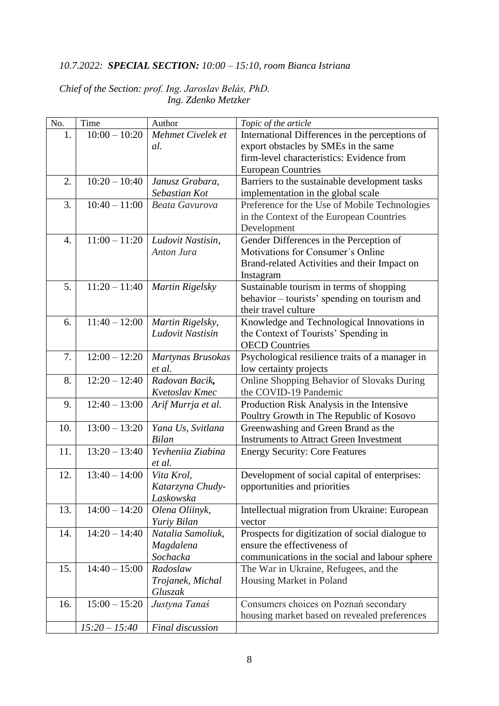# *10.7.2022: SPECIAL SECTION: 10:00 – 15:10, room Bianca Istriana*

| Chief of the Section: prof. Ing. Jaroslav Belás, PhD. |  |                     |  |
|-------------------------------------------------------|--|---------------------|--|
|                                                       |  | Ing. Zdenko Metzker |  |

| No. | Time            | Author                | Topic of the article                             |  |  |
|-----|-----------------|-----------------------|--------------------------------------------------|--|--|
| 1.  | $10:00 - 10:20$ | Mehmet Civelek et     | International Differences in the perceptions of  |  |  |
|     |                 | al.                   | export obstacles by SMEs in the same             |  |  |
|     |                 |                       | firm-level characteristics: Evidence from        |  |  |
|     |                 |                       | <b>European Countries</b>                        |  |  |
| 2.  | $10:20 - 10:40$ | Janusz Grabara,       | Barriers to the sustainable development tasks    |  |  |
|     |                 | Sebastian Kot         | implementation in the global scale               |  |  |
| 3.  | $10:40 - 11:00$ | <b>Beata Gavurova</b> | Preference for the Use of Mobile Technologies    |  |  |
|     |                 |                       | in the Context of the European Countries         |  |  |
|     |                 |                       | Development                                      |  |  |
| 4.  | $11:00 - 11:20$ | Ludovit Nastisin,     | Gender Differences in the Perception of          |  |  |
|     |                 | Anton Jura            | Motivations for Consumer's Online                |  |  |
|     |                 |                       | Brand-related Activities and their Impact on     |  |  |
|     |                 |                       | Instagram                                        |  |  |
| 5.  | $11:20 - 11:40$ | Martin Rigelsky       | Sustainable tourism in terms of shopping         |  |  |
|     |                 |                       | behavior - tourists' spending on tourism and     |  |  |
|     |                 |                       | their travel culture                             |  |  |
| 6.  | $11:40 - 12:00$ | Martin Rigelsky,      | Knowledge and Technological Innovations in       |  |  |
|     |                 | Ludovit Nastisin      | the Context of Tourists' Spending in             |  |  |
|     |                 |                       | <b>OECD</b> Countries                            |  |  |
| 7.  | $12:00 - 12:20$ | Martynas Brusokas     | Psychological resilience traits of a manager in  |  |  |
|     |                 | et al.                | low certainty projects                           |  |  |
| 8.  | $12:20 - 12:40$ | Radovan Bacik,        | Online Shopping Behavior of Slovaks During       |  |  |
|     |                 | Kvetoslav Kmec        | the COVID-19 Pandemic                            |  |  |
| 9.  | $12:40 - 13:00$ | Arif Murrja et al.    | Production Risk Analysis in the Intensive        |  |  |
|     |                 |                       | Poultry Growth in The Republic of Kosovo         |  |  |
| 10. | $13:00 - 13:20$ | Yana Us, Svitlana     | Greenwashing and Green Brand as the              |  |  |
|     |                 | <b>Bilan</b>          | <b>Instruments to Attract Green Investment</b>   |  |  |
| 11. | $13:20 - 13:40$ | Yevheniia Ziabina     | <b>Energy Security: Core Features</b>            |  |  |
|     |                 | et al.                |                                                  |  |  |
| 12. | $13:40 - 14:00$ | Vita Krol.            | Development of social capital of enterprises:    |  |  |
|     |                 | Katarzyna Chudy-      | opportunities and priorities                     |  |  |
|     |                 | Laskowska             |                                                  |  |  |
| 13. | $14:00 - 14:20$ | Olena Oliinyk,        | Intellectual migration from Ukraine: European    |  |  |
|     |                 | Yuriy Bilan           | vector                                           |  |  |
| 14. | $14:20 - 14:40$ | Natalia Samoliuk,     | Prospects for digitization of social dialogue to |  |  |
|     |                 | Magdalena             | ensure the effectiveness of                      |  |  |
|     |                 | Sochacka              | communications in the social and labour sphere   |  |  |
| 15. | $14:40 - 15:00$ | Radoslaw              | The War in Ukraine, Refugees, and the            |  |  |
|     |                 | Trojanek, Michal      | Housing Market in Poland                         |  |  |
|     |                 | Gluszak               |                                                  |  |  |
| 16. | $15:00 - 15:20$ | Justyna Tanaś         | Consumers choices on Poznań secondary            |  |  |
|     |                 |                       | housing market based on revealed preferences     |  |  |
|     | $15:20 - 15:40$ | Final discussion      |                                                  |  |  |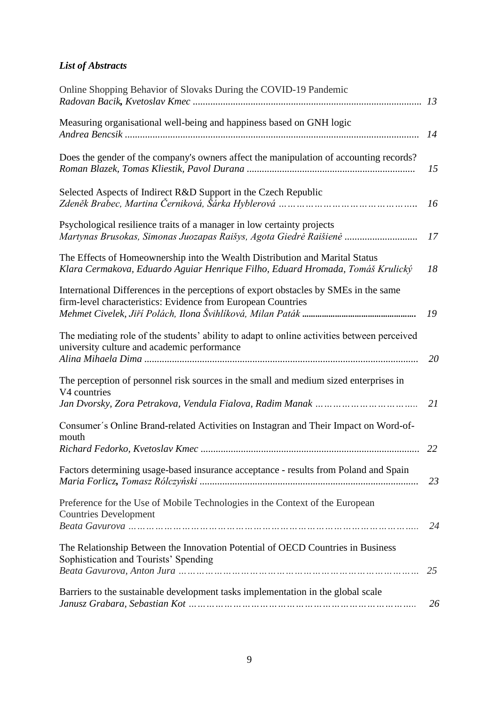# *List of Abstracts*

| Online Shopping Behavior of Slovaks During the COVID-19 Pandemic                                                                                               |    |
|----------------------------------------------------------------------------------------------------------------------------------------------------------------|----|
| Measuring organisational well-being and happiness based on GNH logic                                                                                           | 14 |
| Does the gender of the company's owners affect the manipulation of accounting records?                                                                         | 15 |
| Selected Aspects of Indirect R&D Support in the Czech Republic                                                                                                 | 16 |
| Psychological resilience traits of a manager in low certainty projects<br>Martynas Brusokas, Simonas Juozapas Raišys, Agota Giedrė Raišienė                    | 17 |
| The Effects of Homeownership into the Wealth Distribution and Marital Status<br>Klara Cermakova, Eduardo Aguiar Henrique Filho, Eduard Hromada, Tomáš Krulický | 18 |
| International Differences in the perceptions of export obstacles by SMEs in the same<br>firm-level characteristics: Evidence from European Countries           | 19 |
| The mediating role of the students' ability to adapt to online activities between perceived<br>university culture and academic performance                     | 20 |
| The perception of personnel risk sources in the small and medium sized enterprises in<br>V4 countries                                                          | 21 |
| Consumer's Online Brand-related Activities on Instagran and Their Impact on Word-of-<br>mouth                                                                  |    |
| Factors determining usage-based insurance acceptance - results from Poland and Spain                                                                           | 23 |
| Preference for the Use of Mobile Technologies in the Context of the European<br><b>Countries Development</b>                                                   | 24 |
| The Relationship Between the Innovation Potential of OECD Countries in Business<br>Sophistication and Tourists' Spending                                       | 25 |
| Barriers to the sustainable development tasks implementation in the global scale                                                                               | 26 |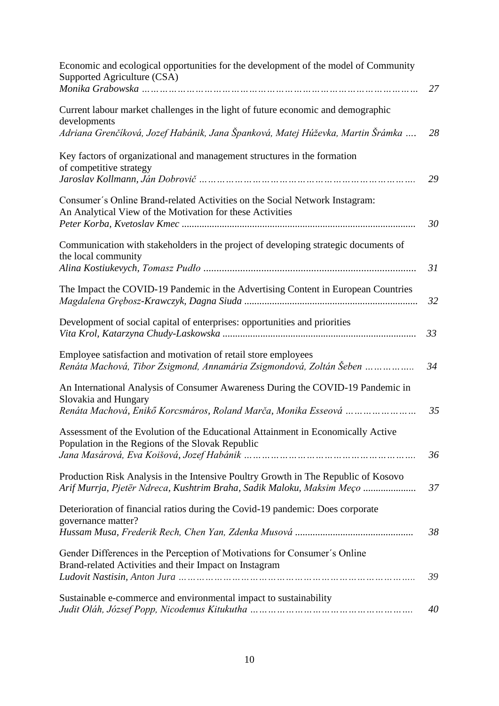| Economic and ecological opportunities for the development of the model of Community<br>Supported Agriculture (CSA)                                                        |    |
|---------------------------------------------------------------------------------------------------------------------------------------------------------------------------|----|
|                                                                                                                                                                           | 27 |
| Current labour market challenges in the light of future economic and demographic<br>developments                                                                          |    |
| Adriana Grenčíková, Jozef Habánik, Jana Španková, Matej Húževka, Martin Šrámka                                                                                            | 28 |
| Key factors of organizational and management structures in the formation<br>of competitive strategy                                                                       | 29 |
| Consumer's Online Brand-related Activities on the Social Network Instagram:<br>An Analytical View of the Motivation for these Activities                                  | 30 |
| Communication with stakeholders in the project of developing strategic documents of<br>the local community                                                                | 31 |
| The Impact the COVID-19 Pandemic in the Advertising Content in European Countries                                                                                         | 32 |
| Development of social capital of enterprises: opportunities and priorities                                                                                                | 33 |
| Employee satisfaction and motivation of retail store employees<br>Renáta Machová, Tibor Zsigmond, Annamária Zsigmondová, Zoltán Šeben                                     | 34 |
| An International Analysis of Consumer Awareness During the COVID-19 Pandemic in<br>Slovakia and Hungary<br>Renáta Machová, Enikő Korcsmáros, Roland Marča, Monika Esseová | 35 |
| Assessment of the Evolution of the Educational Attainment in Economically Active<br>Population in the Regions of the Slovak Republic                                      | 36 |
| Production Risk Analysis in the Intensive Poultry Growth in The Republic of Kosovo<br>Arif Murrja, Pjetër Ndreca, Kushtrim Braha, Sadik Maloku, Maksim Meço               | 37 |
| Deterioration of financial ratios during the Covid-19 pandemic: Does corporate<br>governance matter?                                                                      | 38 |
| Gender Differences in the Perception of Motivations for Consumer's Online<br>Brand-related Activities and their Impact on Instagram                                       | 39 |
| Sustainable e-commerce and environmental impact to sustainability                                                                                                         | 40 |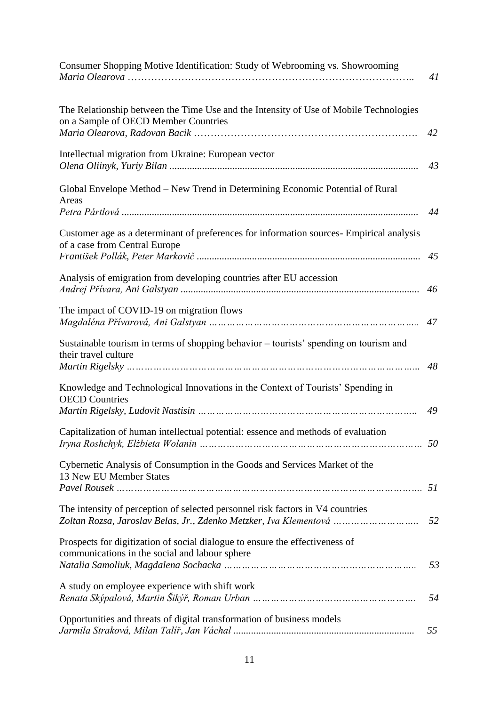| Consumer Shopping Motive Identification: Study of Webrooming vs. Showrooming                                                                        | 41 |
|-----------------------------------------------------------------------------------------------------------------------------------------------------|----|
| The Relationship between the Time Use and the Intensity of Use of Mobile Technologies<br>on a Sample of OECD Member Countries                       | 42 |
| Intellectual migration from Ukraine: European vector                                                                                                | 43 |
| Global Envelope Method - New Trend in Determining Economic Potential of Rural<br>Areas                                                              | 44 |
| Customer age as a determinant of preferences for information sources- Empirical analysis<br>of a case from Central Europe                           | 45 |
| Analysis of emigration from developing countries after EU accession                                                                                 | 46 |
| The impact of COVID-19 on migration flows                                                                                                           | 47 |
| Sustainable tourism in terms of shopping behavior - tourists' spending on tourism and<br>their travel culture                                       | 48 |
| Knowledge and Technological Innovations in the Context of Tourists' Spending in<br><b>OECD</b> Countries                                            | 49 |
| Capitalization of human intellectual potential: essence and methods of evaluation                                                                   |    |
| Cybernetic Analysis of Consumption in the Goods and Services Market of the<br>13 New EU Member States                                               | 51 |
| The intensity of perception of selected personnel risk factors in V4 countries<br>Zoltan Rozsa, Jaroslav Belas, Jr., Zdenko Metzker, Iva Klementová | 52 |
| Prospects for digitization of social dialogue to ensure the effectiveness of<br>communications in the social and labour sphere                      | 53 |
| A study on employee experience with shift work                                                                                                      | 54 |
| Opportunities and threats of digital transformation of business models                                                                              | 55 |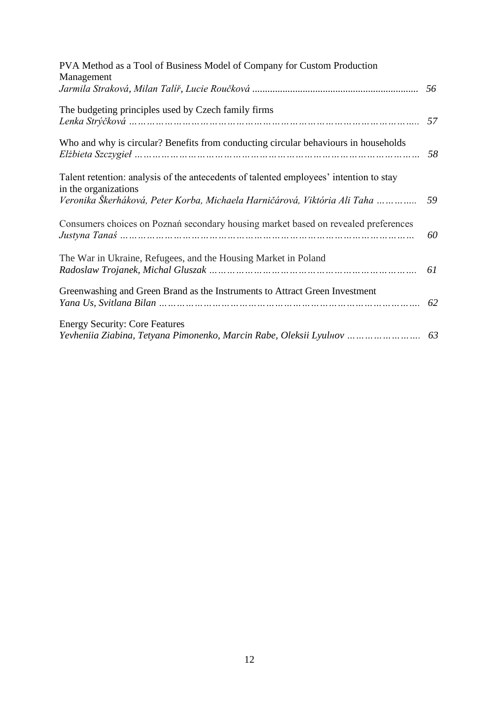| PVA Method as a Tool of Business Model of Company for Custom Production<br>Management                                                                                                       |    |
|---------------------------------------------------------------------------------------------------------------------------------------------------------------------------------------------|----|
|                                                                                                                                                                                             | 56 |
| The budgeting principles used by Czech family firms                                                                                                                                         | 57 |
| Who and why is circular? Benefits from conducting circular behaviours in households                                                                                                         | 58 |
| Talent retention: analysis of the antecedents of talented employees' intention to stay<br>in the organizations<br>Veronika Škerháková, Peter Korba, Michaela Harničárová, Viktória Ali Taha | 59 |
| Consumers choices on Poznań secondary housing market based on revealed preferences                                                                                                          | 60 |
| The War in Ukraine, Refugees, and the Housing Market in Poland                                                                                                                              | 61 |
| Greenwashing and Green Brand as the Instruments to Attract Green Investment                                                                                                                 | 62 |
| <b>Energy Security: Core Features</b><br>Yevheniia Ziabina, Tetyana Pimonenko, Marcin Rabe, Oleksii Lyuluov  63                                                                             |    |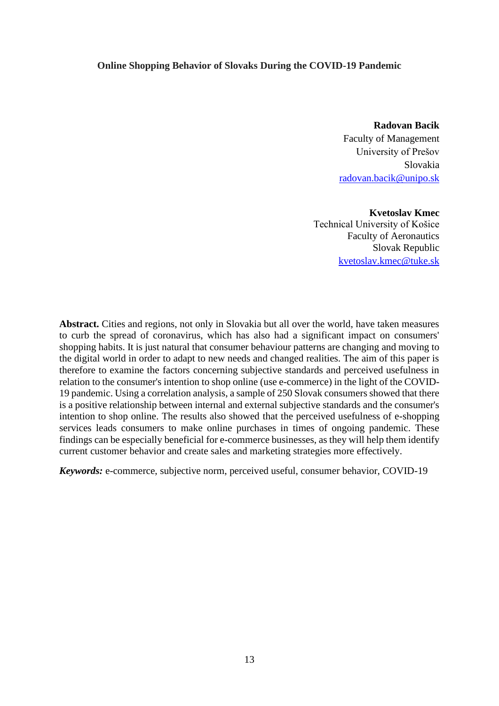#### **Online Shopping Behavior of Slovaks During the COVID-19 Pandemic**

**Radovan Bacik** Faculty of Management University of Prešov Slovakia [radovan.bacik@unipo.sk](mailto:radovan.bacik@unipo.sk)

**Kvetoslav Kmec** Technical University of Košice Faculty of Aeronautics Slovak Republic [kvetoslav.kmec@tuke.sk](mailto:kvetoslav.kmec@tuke.sk)

**Abstract.** Cities and regions, not only in Slovakia but all over the world, have taken measures to curb the spread of coronavirus, which has also had a significant impact on consumers' shopping habits. It is just natural that consumer behaviour patterns are changing and moving to the digital world in order to adapt to new needs and changed realities. The aim of this paper is therefore to examine the factors concerning subjective standards and perceived usefulness in relation to the consumer's intention to shop online (use e-commerce) in the light of the COVID-19 pandemic. Using a correlation analysis, a sample of 250 Slovak consumers showed that there is a positive relationship between internal and external subjective standards and the consumer's intention to shop online. The results also showed that the perceived usefulness of e-shopping services leads consumers to make online purchases in times of ongoing pandemic. These findings can be especially beneficial for e-commerce businesses, as they will help them identify current customer behavior and create sales and marketing strategies more effectively.

*Keywords:* e-commerce, subjective norm, perceived useful, consumer behavior, COVID-19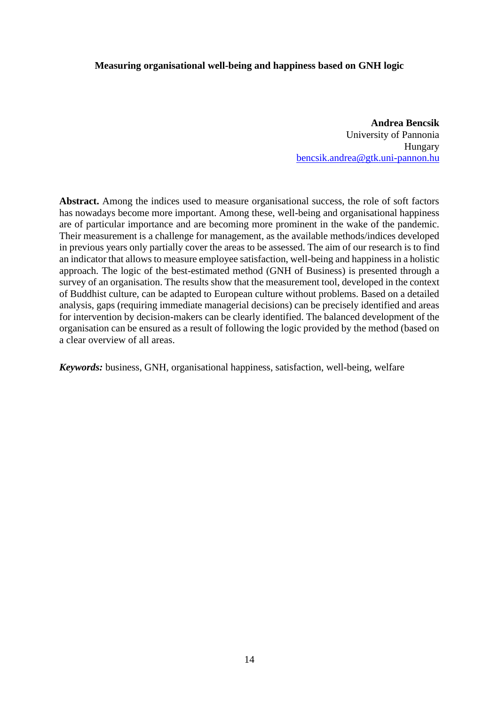### **Measuring organisational well-being and happiness based on GNH logic**

**Andrea Bencsik** University of Pannonia Hungary [bencsik.andrea@gtk.uni-pannon.hu](mailto:bencsik.andrea@gtk.uni-pannon.hu)

**Abstract.** Among the indices used to measure organisational success, the role of soft factors has nowadays become more important. Among these, well-being and organisational happiness are of particular importance and are becoming more prominent in the wake of the pandemic. Their measurement is a challenge for management, as the available methods/indices developed in previous years only partially cover the areas to be assessed. The aim of our research is to find an indicator that allows to measure employee satisfaction, well-being and happiness in a holistic approach. The logic of the best-estimated method (GNH of Business) is presented through a survey of an organisation. The results show that the measurement tool, developed in the context of Buddhist culture, can be adapted to European culture without problems. Based on a detailed analysis, gaps (requiring immediate managerial decisions) can be precisely identified and areas for intervention by decision-makers can be clearly identified. The balanced development of the organisation can be ensured as a result of following the logic provided by the method (based on a clear overview of all areas.

*Keywords:* business, GNH, organisational happiness, satisfaction, well-being, welfare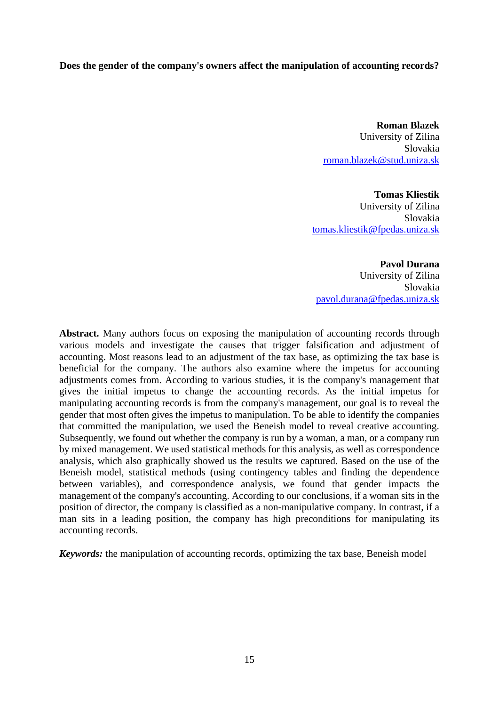# **Does the gender of the company's owners affect the manipulation of accounting records?**

**Roman Blazek**  University of Zilina Slovakia [roman.blazek@stud.uniza.sk](mailto:roman.blazek@stud.uniza.sk)

**Tomas Kliestik**  University of Zilina Slovakia [tomas.kliestik@fpedas.uniza.sk](mailto:tomas.kliestik@fpedas.uniza.sk)

**Pavol Durana** University of Zilina Slovakia [pavol.durana@fpedas.uniza.sk](mailto:pavol.durana@fpedas.uniza.sk)

**Abstract.** Many authors focus on exposing the manipulation of accounting records through various models and investigate the causes that trigger falsification and adjustment of accounting. Most reasons lead to an adjustment of the tax base, as optimizing the tax base is beneficial for the company. The authors also examine where the impetus for accounting adjustments comes from. According to various studies, it is the company's management that gives the initial impetus to change the accounting records. As the initial impetus for manipulating accounting records is from the company's management, our goal is to reveal the gender that most often gives the impetus to manipulation. To be able to identify the companies that committed the manipulation, we used the Beneish model to reveal creative accounting. Subsequently, we found out whether the company is run by a woman, a man, or a company run by mixed management. We used statistical methods for this analysis, as well as correspondence analysis, which also graphically showed us the results we captured. Based on the use of the Beneish model, statistical methods (using contingency tables and finding the dependence between variables), and correspondence analysis, we found that gender impacts the management of the company's accounting. According to our conclusions, if a woman sits in the position of director, the company is classified as a non-manipulative company. In contrast, if a man sits in a leading position, the company has high preconditions for manipulating its accounting records.

*Keywords:* the manipulation of accounting records, optimizing the tax base, Beneish model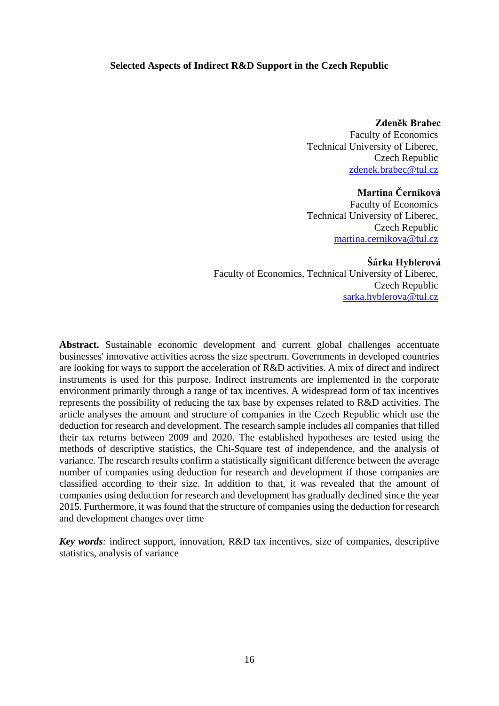#### **Selected Aspects of Indirect R&D Support in the Czech Republic**

**Zdeněk Brabec** Faculty of Economics Technical University of Liberec, Czech Republic [zdenek.brabec@tul.cz](mailto:zdenek.brabec@tul.cz)

**Martina Černíková**

Faculty of Economics Technical University of Liberec, Czech Republic [martina.cernikova@tul.cz](mailto:martina.cernikova@tul.cz)

**Šárka Hyblerová** Faculty of Economics, Technical University of Liberec, Czech Republic [sarka.hyblerova@tul.cz](mailto:sarka.hyblerova@tul.cz)

**Abstract.** Sustainable economic development and current global challenges accentuate businesses' innovative activities across the size spectrum. Governments in developed countries are looking for ways to support the acceleration of R&D activities. A mix of direct and indirect instruments is used for this purpose. Indirect instruments are implemented in the corporate environment primarily through a range of tax incentives. A widespread form of tax incentives represents the possibility of reducing the tax base by expenses related to R&D activities. The article analyses the amount and structure of companies in the Czech Republic which use the deduction for research and development. The research sample includes all companies that filled their tax returns between 2009 and 2020. The established hypotheses are tested using the methods of descriptive statistics, the Chi-Square test of independence, and the analysis of variance. The research results confirm a statistically significant difference between the average number of companies using deduction for research and development if those companies are classified according to their size. In addition to that, it was revealed that the amount of companies using deduction for research and development has gradually declined since the year 2015. Furthermore, it was found that the structure of companies using the deduction for research and development changes over time

*Key words:* indirect support, innovation, R&D tax incentives, size of companies, descriptive statistics, analysis of variance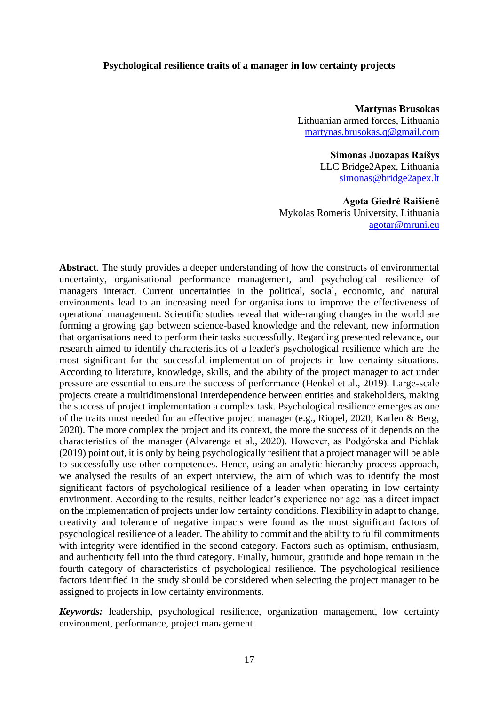#### **Psychological resilience traits of a manager in low certainty projects**

**Martynas Brusokas** Lithuanian armed forces, Lithuania [martynas.brusokas.q@gmail.com](mailto:martynas.brusokas.q@gmail.com)

> **Simonas Juozapas Raišys**  LLC Bridge2Apex, Lithuania [simonas@bridge2apex.lt](mailto:simonas@bridge2apex.lt)

**Agota Giedrė Raišienė** Mykolas Romeris University, Lithuania [agotar@mruni.eu](mailto:agotar@mruni.eu)

**Abstract**. The study provides a deeper understanding of how the constructs of environmental uncertainty, organisational performance management, and psychological resilience of managers interact. Current uncertainties in the political, social, economic, and natural environments lead to an increasing need for organisations to improve the effectiveness of operational management. Scientific studies reveal that wide-ranging changes in the world are forming a growing gap between science-based knowledge and the relevant, new information that organisations need to perform their tasks successfully. Regarding presented relevance, our research aimed to identify characteristics of a leader's psychological resilience which are the most significant for the successful implementation of projects in low certainty situations. According to literature, knowledge, skills, and the ability of the project manager to act under pressure are essential to ensure the success of performance (Henkel et al., 2019). Large-scale projects create a multidimensional interdependence between entities and stakeholders, making the success of project implementation a complex task. Psychological resilience emerges as one of the traits most needed for an effective project manager (e.g., Riopel, 2020; Karlen & Berg, 2020). The more complex the project and its context, the more the success of it depends on the characteristics of the manager (Alvarenga et al., 2020). However, as Podgórska and Pichlak (2019) point out, it is only by being psychologically resilient that a project manager will be able to successfully use other competences. Hence, using an analytic hierarchy process approach, we analysed the results of an expert interview, the aim of which was to identify the most significant factors of psychological resilience of a leader when operating in low certainty environment. According to the results, neither leader's experience nor age has a direct impact on the implementation of projects under low certainty conditions. Flexibility in adapt to change, creativity and tolerance of negative impacts were found as the most significant factors of psychological resilience of a leader. The ability to commit and the ability to fulfil commitments with integrity were identified in the second category. Factors such as optimism, enthusiasm, and authenticity fell into the third category. Finally, humour, gratitude and hope remain in the fourth category of characteristics of psychological resilience. The psychological resilience factors identified in the study should be considered when selecting the project manager to be assigned to projects in low certainty environments.

*Keywords:* leadership, psychological resilience, organization management, low certainty environment, performance, project management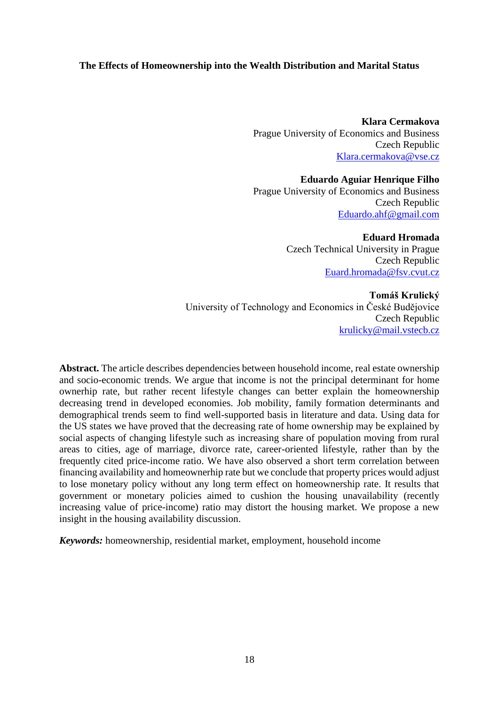# **The Effects of Homeownership into the Wealth Distribution and Marital Status**

**Klara Cermakova** Prague University of Economics and Business Czech Republic [Klara.cermakova@vse.cz](mailto:Klara.cermakova@vse.cz)

**Eduardo Aguiar Henrique Filho**  Prague University of Economics and Business Czech Republic [Eduardo.ahf@gmail.com](mailto:Eduardo.ahf@gmail.com)

> **Eduard Hromada** Czech Technical University in Prague Czech Republic [Euard.hromada@fsv.cvut.cz](mailto:Euard.hromada@fsv.cvut.cz)

**Tomáš Krulický** University of Technology and Economics in České Budějovice Czech Republic [krulicky@mail.vstecb.cz](mailto:krulicky@mail.vstecb.cz)

**Abstract.** The article describes dependencies between household income, real estate ownership and socio-economic trends. We argue that income is not the principal determinant for home ownerhip rate, but rather recent lifestyle changes can better explain the homeownership decreasing trend in developed economies. Job mobility, family formation determinants and demographical trends seem to find well-supported basis in literature and data. Using data for the US states we have proved that the decreasing rate of home ownership may be explained by social aspects of changing lifestyle such as increasing share of population moving from rural areas to cities, age of marriage, divorce rate, career-oriented lifestyle, rather than by the frequently cited price-income ratio. We have also observed a short term correlation between financing availability and homeownerhip rate but we conclude that property prices would adjust to lose monetary policy without any long term effect on homeownership rate. It results that government or monetary policies aimed to cushion the housing unavailability (recently increasing value of price-income) ratio may distort the housing market. We propose a new insight in the housing availability discussion.

*Keywords:* homeownership, residential market, employment, household income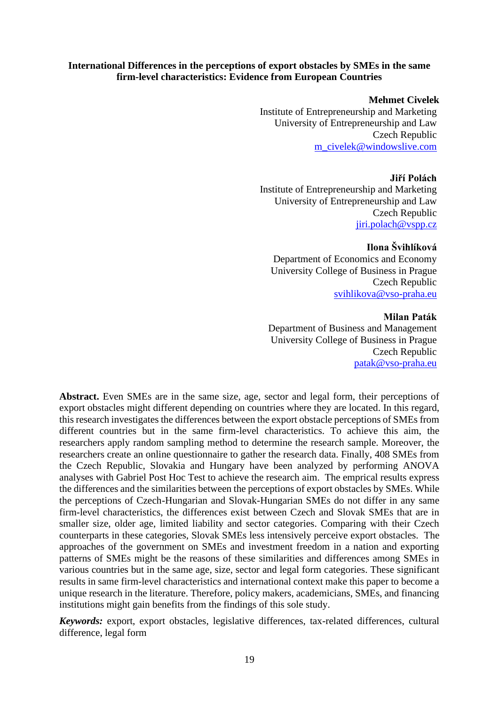### **International Differences in the perceptions of export obstacles by SMEs in the same firm-level characteristics: Evidence from European Countries**

#### **Mehmet Civelek**

Institute of Entrepreneurship and Marketing University of Entrepreneurship and Law Czech Republic [m\\_civelek@windowslive.com](mailto:m_civelek@windowslive.com)

#### **Jiří Polách**

Institute of Entrepreneurship and Marketing University of Entrepreneurship and Law Czech Republic [jiri.polach@vspp.cz](mailto:jiri.polach@vspp.cz)

# **Ilona Švihlíková**

Department of Economics and Economy University College of Business in Prague Czech Republic [svihlikova@vso-praha.eu](mailto:svihlikova@vso-praha.eu)

#### **Milan Paták**

Department of Business and Management University College of Business in Prague Czech Republic [patak@vso-praha.eu](mailto:patak@vso-praha.eu)

**Abstract.** Even SMEs are in the same size, age, sector and legal form, their perceptions of export obstacles might different depending on countries where they are located. In this regard, this research investigates the differences between the export obstacle perceptions of SMEs from different countries but in the same firm-level characteristics. To achieve this aim, the researchers apply random sampling method to determine the research sample. Moreover, the researchers create an online questionnaire to gather the research data. Finally, 408 SMEs from the Czech Republic, Slovakia and Hungary have been analyzed by performing ANOVA analyses with Gabriel Post Hoc Test to achieve the research aim. The emprical results express the differences and the similarities between the perceptions of export obstacles by SMEs. While the perceptions of Czech-Hungarian and Slovak-Hungarian SMEs do not differ in any same firm-level characteristics, the differences exist between Czech and Slovak SMEs that are in smaller size, older age, limited liability and sector categories. Comparing with their Czech counterparts in these categories, Slovak SMEs less intensively perceive export obstacles. The approaches of the government on SMEs and investment freedom in a nation and exporting patterns of SMEs might be the reasons of these similarities and differences among SMEs in various countries but in the same age, size, sector and legal form categories. These significant results in same firm-level characteristics and international context make this paper to become a unique research in the literature. Therefore, policy makers, academicians, SMEs, and financing institutions might gain benefits from the findings of this sole study.

*Keywords:* export, export obstacles, legislative differences, tax-related differences, cultural difference, legal form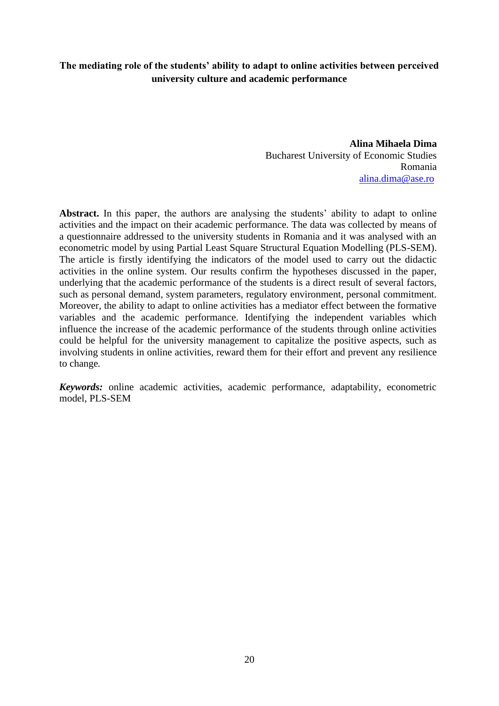# **The mediating role of the students' ability to adapt to online activities between perceived university culture and academic performance**

**Alina Mihaela Dima** Bucharest University of Economic Studies Romania [alina.dima@ase.ro](mailto:alina.dima@ase.ro)

Abstract. In this paper, the authors are analysing the students' ability to adapt to online activities and the impact on their academic performance. The data was collected by means of a questionnaire addressed to the university students in Romania and it was analysed with an econometric model by using Partial Least Square Structural Equation Modelling (PLS-SEM). The article is firstly identifying the indicators of the model used to carry out the didactic activities in the online system. Our results confirm the hypotheses discussed in the paper, underlying that the academic performance of the students is a direct result of several factors, such as personal demand, system parameters, regulatory environment, personal commitment. Moreover, the ability to adapt to online activities has a mediator effect between the formative variables and the academic performance. Identifying the independent variables which influence the increase of the academic performance of the students through online activities could be helpful for the university management to capitalize the positive aspects, such as involving students in online activities, reward them for their effort and prevent any resilience to change*.* 

*Keywords:* online academic activities, academic performance, adaptability, econometric model, PLS-SEM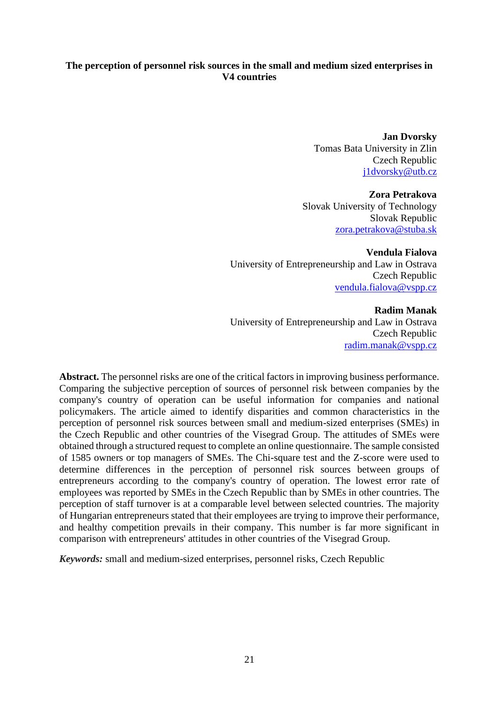# **The perception of personnel risk sources in the small and medium sized enterprises in V4 countries**

**Jan Dvorsky** Tomas Bata University in Zlin Czech Republic [j1dvorsky@utb.cz](mailto:j1dvorsky@utb.cz)

**Zora Petrakova** Slovak University of Technology Slovak Republic [zora.petrakova@stuba.sk](mailto:zora.petrakova@stuba.sk)

**Vendula Fialova** University of Entrepreneurship and Law in Ostrava Czech Republic [vendula.fialova@vspp.cz](mailto:vendula.fialova@vspp.cz)

**Radim Manak** University of Entrepreneurship and Law in Ostrava Czech Republic [radim.manak@vspp.cz](mailto:radim.manak@vspp.cz)

**Abstract.** The personnel risks are one of the critical factors in improving business performance. Comparing the subjective perception of sources of personnel risk between companies by the company's country of operation can be useful information for companies and national policymakers. The article aimed to identify disparities and common characteristics in the perception of personnel risk sources between small and medium-sized enterprises (SMEs) in the Czech Republic and other countries of the Visegrad Group. The attitudes of SMEs were obtained through a structured request to complete an online questionnaire. The sample consisted of 1585 owners or top managers of SMEs. The Chi-square test and the Z-score were used to determine differences in the perception of personnel risk sources between groups of entrepreneurs according to the company's country of operation. The lowest error rate of employees was reported by SMEs in the Czech Republic than by SMEs in other countries. The perception of staff turnover is at a comparable level between selected countries. The majority of Hungarian entrepreneurs stated that their employees are trying to improve their performance, and healthy competition prevails in their company. This number is far more significant in comparison with entrepreneurs' attitudes in other countries of the Visegrad Group.

*Keywords:* small and medium-sized enterprises, personnel risks, Czech Republic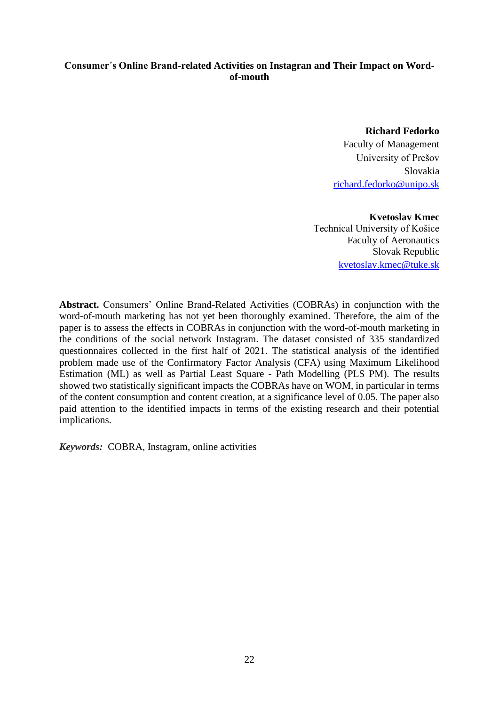# **Consumer´s Online Brand-related Activities on Instagran and Their Impact on Wordof-mouth**

**Richard Fedorko** Faculty of Management University of Prešov Slovakia [richard.fedorko@unipo.sk](mailto:richard.fedorko@unipo.sk)

**Kvetoslav Kmec** Technical University of Košice Faculty of Aeronautics Slovak Republic [kvetoslav.kmec@tuke.sk](mailto:kvetoslav.kmec@unipo.sk)

**Abstract.** Consumers' Online Brand-Related Activities (COBRAs) in conjunction with the word-of-mouth marketing has not yet been thoroughly examined. Therefore, the aim of the paper is to assess the effects in COBRAs in conjunction with the word-of-mouth marketing in the conditions of the social network Instagram. The dataset consisted of 335 standardized questionnaires collected in the first half of 2021. The statistical analysis of the identified problem made use of the Confirmatory Factor Analysis (CFA) using Maximum Likelihood Estimation (ML) as well as Partial Least Square - Path Modelling (PLS PM). The results showed two statistically significant impacts the COBRAs have on WOM, in particular in terms of the content consumption and content creation, at a significance level of 0.05. The paper also paid attention to the identified impacts in terms of the existing research and their potential implications.

*Keywords:* COBRA, Instagram, online activities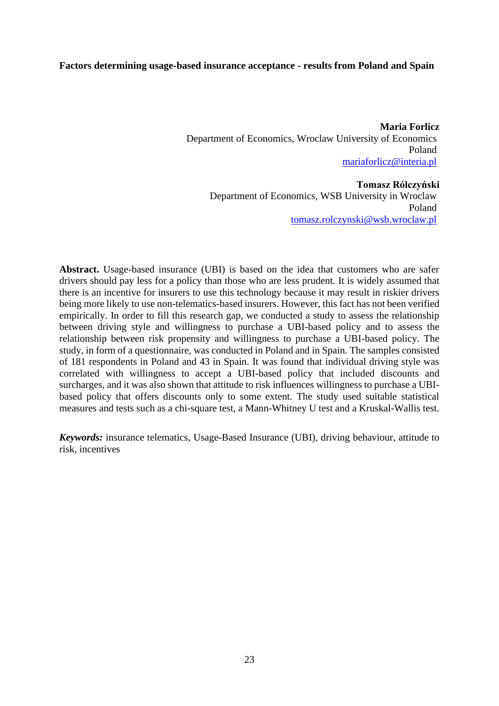#### **Factors determining usage-based insurance acceptance - results from Poland and Spain**

**Maria Forlicz** Department of Economics, Wroclaw University of Economics Poland [mariaforlicz@interia.pl](mailto:mariaforlicz@interia.pl)

**Tomasz Rólczyński** Department of Economics, WSB University in Wroclaw Poland [tomasz.rolczynski@wsb.wroclaw.pl](mailto:tomasz.rolczynski@wsb.wroclaw.pl)

**Abstract.** Usage-based insurance (UBI) is based on the idea that customers who are safer drivers should pay less for a policy than those who are less prudent. It is widely assumed that there is an incentive for insurers to use this technology because it may result in riskier drivers being more likely to use non-telematics-based insurers. However, this fact has not been verified empirically. In order to fill this research gap, we conducted a study to assess the relationship between driving style and willingness to purchase a UBI-based policy and to assess the relationship between risk propensity and willingness to purchase a UBI-based policy. The study, in form of a questionnaire, was conducted in Poland and in Spain. The samples consisted of 181 respondents in Poland and 43 in Spain. It was found that individual driving style was correlated with willingness to accept a UBI-based policy that included discounts and surcharges, and it was also shown that attitude to risk influences willingness to purchase a UBIbased policy that offers discounts only to some extent. The study used suitable statistical measures and tests such as a chi-square test, a Mann-Whitney U test and a Kruskal-Wallis test.

*Keywords:* insurance telematics, Usage-Based Insurance (UBI), driving behaviour, attitude to risk, incentives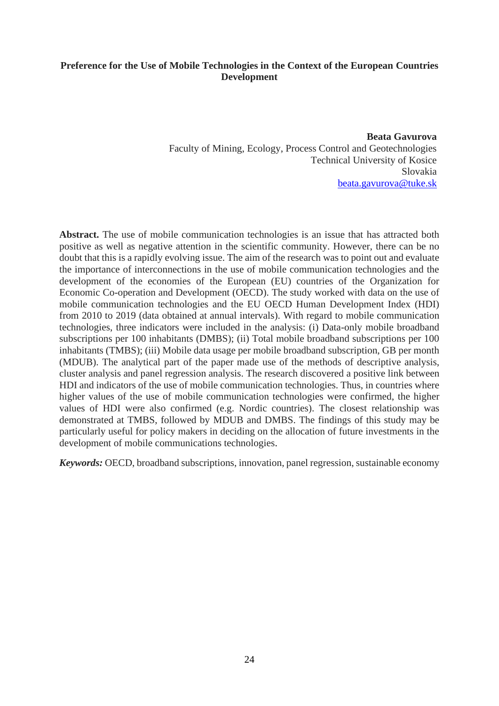# **Preference for the Use of Mobile Technologies in the Context of the European Countries Development**

**Beata Gavurova** Faculty of Mining, Ecology, Process Control and Geotechnologies Technical University of Kosice Slovakia [beata.gavurova@tuke.sk](mailto:beata.gavurova@tuke.sk)

**Abstract.** The use of mobile communication technologies is an issue that has attracted both positive as well as negative attention in the scientific community. However, there can be no doubt that this is a rapidly evolving issue. The aim of the research was to point out and evaluate the importance of interconnections in the use of mobile communication technologies and the development of the economies of the European (EU) countries of the Organization for Economic Co-operation and Development (OECD). The study worked with data on the use of mobile communication technologies and the EU OECD Human Development Index (HDI) from 2010 to 2019 (data obtained at annual intervals). With regard to mobile communication technologies, three indicators were included in the analysis: (i) Data-only mobile broadband subscriptions per 100 inhabitants (DMBS); (ii) Total mobile broadband subscriptions per 100 inhabitants (TMBS); (iii) Mobile data usage per mobile broadband subscription, GB per month (MDUB). The analytical part of the paper made use of the methods of descriptive analysis, cluster analysis and panel regression analysis. The research discovered a positive link between HDI and indicators of the use of mobile communication technologies. Thus, in countries where higher values of the use of mobile communication technologies were confirmed, the higher values of HDI were also confirmed (e.g. Nordic countries). The closest relationship was demonstrated at TMBS, followed by MDUB and DMBS. The findings of this study may be particularly useful for policy makers in deciding on the allocation of future investments in the development of mobile communications technologies.

*Keywords:* OECD, broadband subscriptions, innovation, panel regression, sustainable economy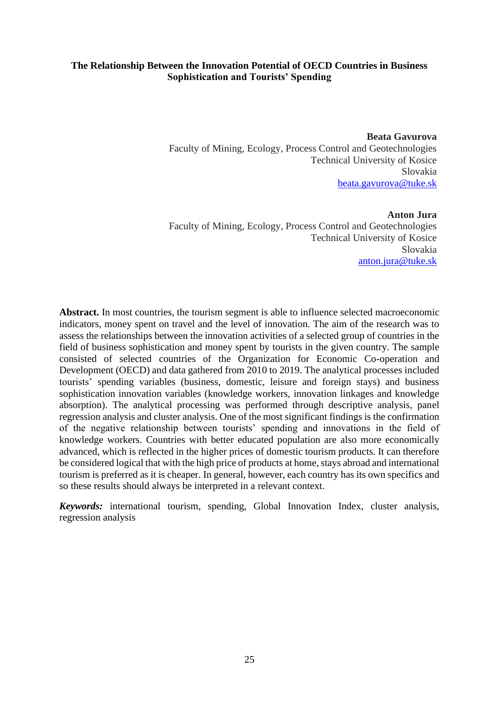# **The Relationship Between the Innovation Potential of OECD Countries in Business Sophistication and Tourists' Spending**

**Beata Gavurova** Faculty of Mining, Ecology, Process Control and Geotechnologies Technical University of Kosice Slovakia [beata.gavurova@tuke.sk](mailto:beata.gavurova@tuke.sk)

**Anton Jura** Faculty of Mining, Ecology, Process Control and Geotechnologies Technical University of Kosice Slovakia [anton.jura@tuke.sk](mailto:anton.jura@tuke.sk)

**Abstract.** In most countries, the tourism segment is able to influence selected macroeconomic indicators, money spent on travel and the level of innovation. The aim of the research was to assess the relationships between the innovation activities of a selected group of countries in the field of business sophistication and money spent by tourists in the given country. The sample consisted of selected countries of the Organization for Economic Co-operation and Development (OECD) and data gathered from 2010 to 2019. The analytical processes included tourists' spending variables (business, domestic, leisure and foreign stays) and business sophistication innovation variables (knowledge workers, innovation linkages and knowledge absorption). The analytical processing was performed through descriptive analysis, panel regression analysis and cluster analysis. One of the most significant findings is the confirmation of the negative relationship between tourists' spending and innovations in the field of knowledge workers. Countries with better educated population are also more economically advanced, which is reflected in the higher prices of domestic tourism products. It can therefore be considered logical that with the high price of products at home, stays abroad and international tourism is preferred as it is cheaper. In general, however, each country has its own specifics and so these results should always be interpreted in a relevant context.

*Keywords:* international tourism, spending, Global Innovation Index, cluster analysis, regression analysis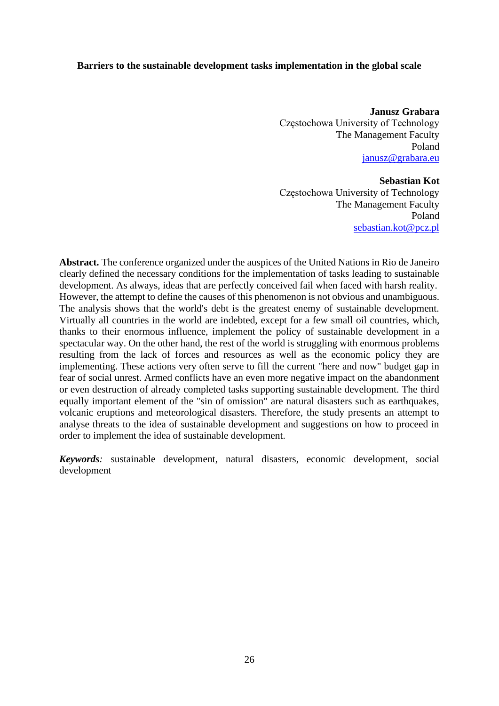#### **Barriers to the sustainable development tasks implementation in the global scale**

**Janusz Grabara** Częstochowa University of Technology The Management Faculty Poland janusz@grabara.eu

**Sebastian Kot** Częstochowa University of Technology The Management Faculty Poland [sebastian.kot@pcz.pl](mailto:sebastian.kot@pcz.pl)

**Abstract.** The conference organized under the auspices of the United Nations in Rio de Janeiro clearly defined the necessary conditions for the implementation of tasks leading to sustainable development. As always, ideas that are perfectly conceived fail when faced with harsh reality. However, the attempt to define the causes of this phenomenon is not obvious and unambiguous. The analysis shows that the world's debt is the greatest enemy of sustainable development. Virtually all countries in the world are indebted, except for a few small oil countries, which, thanks to their enormous influence, implement the policy of sustainable development in a spectacular way. On the other hand, the rest of the world is struggling with enormous problems resulting from the lack of forces and resources as well as the economic policy they are implementing. These actions very often serve to fill the current "here and now" budget gap in fear of social unrest. Armed conflicts have an even more negative impact on the abandonment or even destruction of already completed tasks supporting sustainable development. The third equally important element of the "sin of omission" are natural disasters such as earthquakes, volcanic eruptions and meteorological disasters. Therefore, the study presents an attempt to analyse threats to the idea of sustainable development and suggestions on how to proceed in order to implement the idea of sustainable development.

*Keywords:* sustainable development, natural disasters, economic development, social development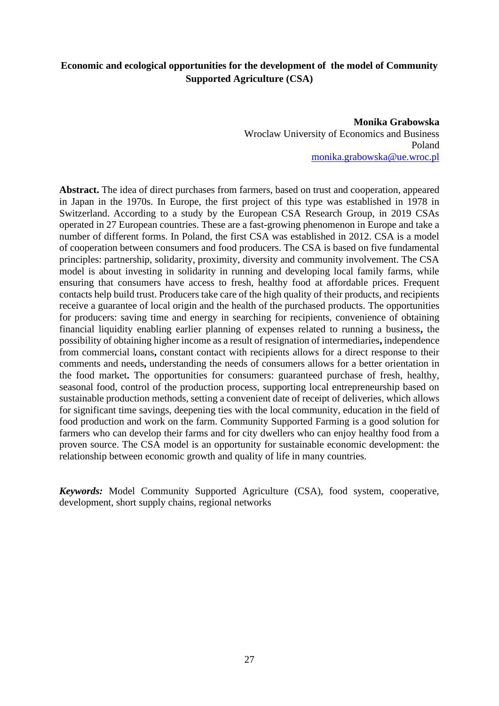# **Economic and ecological opportunities for the development of the model of Community Supported Agriculture (CSA)**

**Monika Grabowska** Wroclaw University of Economics and Business Poland [monika.grabowska@ue.wroc.pl](mailto:monika.grabowska@ue.wroc.pl)

**Abstract.** The idea of direct purchases from farmers, based on trust and cooperation, appeared in Japan in the 1970s. In Europe, the first project of this type was established in 1978 in Switzerland. According to a study by the European CSA Research Group, in 2019 CSAs operated in 27 European countries. These are a fast-growing phenomenon in Europe and take a number of different forms. In Poland, the first CSA was established in 2012. CSA is a model of cooperation between consumers and food producers. The CSA is based on five fundamental principles: partnership, solidarity, proximity, diversity and community involvement. The CSA model is about investing in solidarity in running and developing local family farms, while ensuring that consumers have access to fresh, healthy food at affordable prices. Frequent contacts help build trust. Producers take care of the high quality of their products, and recipients receive a guarantee of local origin and the health of the purchased products. The opportunities for producers: saving time and energy in searching for recipients, convenience of obtaining financial liquidity enabling earlier planning of expenses related to running a business**,** the possibility of obtaining higher income as a result of resignation of intermediaries**,** independence from commercial loans**,** constant contact with recipients allows for a direct response to their comments and needs**,** understanding the needs of consumers allows for a better orientation in the food market**.** The opportunities for consumers: guaranteed purchase of fresh, healthy, seasonal food, control of the production process, supporting local entrepreneurship based on sustainable production methods, setting a convenient date of receipt of deliveries, which allows for significant time savings, deepening ties with the local community, education in the field of food production and work on the farm. Community Supported Farming is a good solution for farmers who can develop their farms and for city dwellers who can enjoy healthy food from a proven source. The CSA model is an opportunity for sustainable economic development: the relationship between economic growth and quality of life in many countries.

*Keywords:* Model Community Supported Agriculture (CSA), food system, cooperative, development, short supply chains, regional networks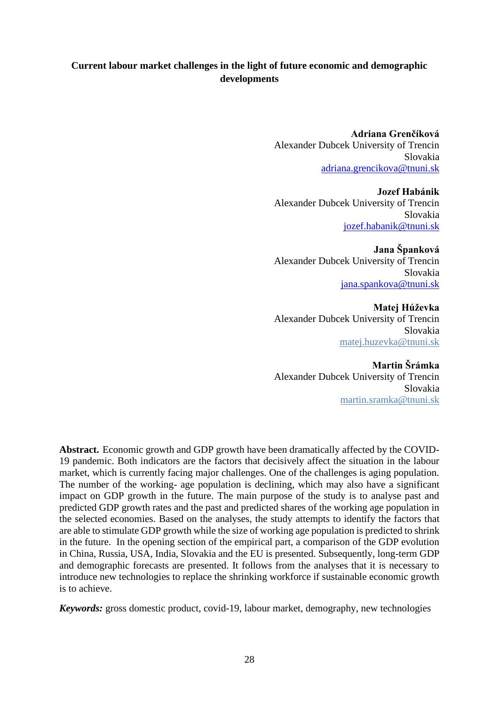# **Current labour market challenges in the light of future economic and demographic developments**

**Adriana Grenčíková** Alexander Dubcek University of Trencin Slovakia [adriana.grencikova@tnuni.sk](mailto:adriana.grencikova@tnuni.sk)

**Jozef Habánik** Alexander Dubcek University of Trencin Slovakia [jozef.habanik@tnuni.sk](mailto:jozef.habanik@tnuni.sk)

**Jana Španková** Alexander Dubcek University of Trencin Slovakia [jana.spankova@tnuni.sk](mailto:jana.spankova@tnuni.sk)

**Matej Húževka** Alexander Dubcek University of Trencin Slovakia [matej.huzevka@tnuni.sk](mailto:matej.huzevka@tnuni.sk)

**Martin Šrámka** Alexander Dubcek University of Trencin Slovakia [martin.sramka@tnuni.sk](mailto:martin.sramka@tnuni.sk)

Abstract. Economic growth and GDP growth have been dramatically affected by the COVID-19 pandemic. Both indicators are the factors that decisively affect the situation in the labour market, which is currently facing major challenges. One of the challenges is aging population. The number of the working- age population is declining, which may also have a significant impact on GDP growth in the future. The main purpose of the study is to analyse past and predicted GDP growth rates and the past and predicted shares of the working age population in the selected economies. Based on the analyses, the study attempts to identify the factors that are able to stimulate GDP growth while the size of working age population is predicted to shrink in the future. In the opening section of the empirical part, a comparison of the GDP evolution in China, Russia, USA, India, Slovakia and the EU is presented. Subsequently, long-term GDP and demographic forecasts are presented. It follows from the analyses that it is necessary to introduce new technologies to replace the shrinking workforce if sustainable economic growth is to achieve.

*Keywords:* gross domestic product, covid-19, labour market, demography, new technologies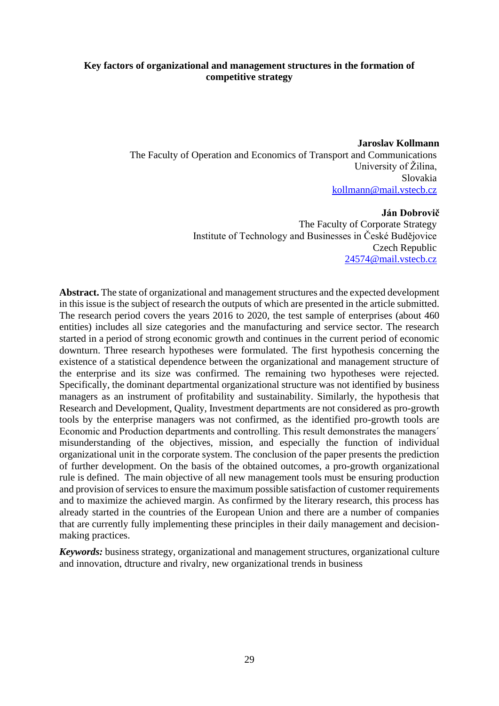# **Key factors of organizational and management structures in the formation of competitive strategy**

**Jaroslav Kollmann**  The Faculty of Operation and Economics of Transport and Communications University of Žilina, Slovakia [kollmann@mail.vstecb.cz](mailto:kollmann@mail.vstecb.cz)

#### **Ján Dobrovič**

The Faculty of Corporate Strategy Institute of Technology and Businesses in České Budějovice Czech Republic [24574@mail.vstecb.cz](mailto:24574@mail.vstecb.cz)

**Abstract.** The state of organizational and management structures and the expected development in this issue is the subject of research the outputs of which are presented in the article submitted. The research period covers the years 2016 to 2020, the test sample of enterprises (about 460 entities) includes all size categories and the manufacturing and service sector. The research started in a period of strong economic growth and continues in the current period of economic downturn. Three research hypotheses were formulated. The first hypothesis concerning the existence of a statistical dependence between the organizational and management structure of the enterprise and its size was confirmed. The remaining two hypotheses were rejected. Specifically, the dominant departmental organizational structure was not identified by business managers as an instrument of profitability and sustainability. Similarly, the hypothesis that Research and Development, Quality, Investment departments are not considered as pro-growth tools by the enterprise managers was not confirmed, as the identified pro-growth tools are Economic and Production departments and controlling. This result demonstrates the managers´ misunderstanding of the objectives, mission, and especially the function of individual organizational unit in the corporate system. The conclusion of the paper presents the prediction of further development. On the basis of the obtained outcomes, a pro-growth organizational rule is defined. The main objective of all new management tools must be ensuring production and provision of services to ensure the maximum possible satisfaction of customer requirements and to maximize the achieved margin. As confirmed by the literary research, this process has already started in the countries of the European Union and there are a number of companies that are currently fully implementing these principles in their daily management and decisionmaking practices.

*Keywords:* business strategy, organizational and management structures, organizational culture and innovation, dtructure and rivalry, new organizational trends in business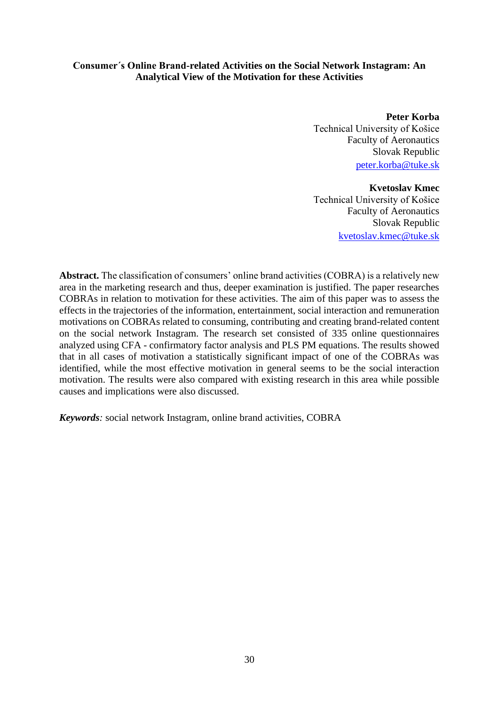# **Consumer´s Online Brand-related Activities on the Social Network Instagram: An Analytical View of the Motivation for these Activities**

**Peter Korba** Technical University of Košice Faculty of Aeronautics Slovak Republic [peter.korba@tuke.sk](mailto:peter.korba@tuke.sk)

#### **Kvetoslav Kmec**

Technical University of Košice Faculty of Aeronautics Slovak Republic [kvetoslav.kmec@tuke.sk](mailto:kvetoslav.kmec@tuke.sk)

**Abstract.** The classification of consumers' online brand activities (COBRA) is a relatively new area in the marketing research and thus, deeper examination is justified. The paper researches COBRAs in relation to motivation for these activities. The aim of this paper was to assess the effects in the trajectories of the information, entertainment, social interaction and remuneration motivations on COBRAs related to consuming, contributing and creating brand-related content on the social network Instagram. The research set consisted of 335 online questionnaires analyzed using CFA - confirmatory factor analysis and PLS PM equations. The results showed that in all cases of motivation a statistically significant impact of one of the COBRAs was identified, while the most effective motivation in general seems to be the social interaction motivation. The results were also compared with existing research in this area while possible causes and implications were also discussed.

*Keywords:* social network Instagram, online brand activities, COBRA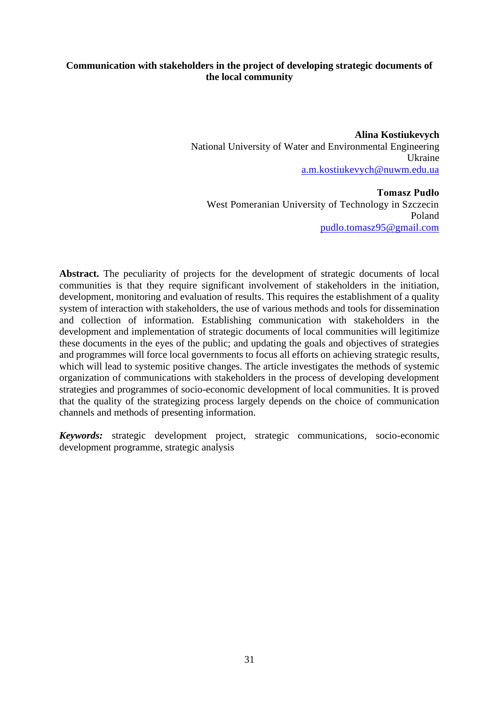# **Communication with stakeholders in the project of developing strategic documents of the local community**

**Alina Kostiukevych**  National University of Water and Environmental Engineering Ukraine [a.m.kostiukevych@nuwm.edu.ua](mailto:a.m.kostiukevych@nuwm.edu.ua)

**Tomasz Pudło** West Pomeranian University of Technology in Szczecin Poland [pudlo.tomasz95@gmail.com](mailto:pudlo.tomasz95@gmail.com)

**Abstract.** The peculiarity of projects for the development of strategic documents of local communities is that they require significant involvement of stakeholders in the initiation, development, monitoring and evaluation of results. This requires the establishment of a quality system of interaction with stakeholders, the use of various methods and tools for dissemination and collection of information. Establishing communication with stakeholders in the development and implementation of strategic documents of local communities will legitimize these documents in the eyes of the public; and updating the goals and objectives of strategies and programmes will force local governments to focus all efforts on achieving strategic results, which will lead to systemic positive changes. The article investigates the methods of systemic organization of communications with stakeholders in the process of developing development strategies and programmes of socio-economic development of local communities. It is proved that the quality of the strategizing process largely depends on the choice of communication channels and methods of presenting information.

*Keywords:* strategic development project, strategic communications, socio-economic development programme, strategic analysis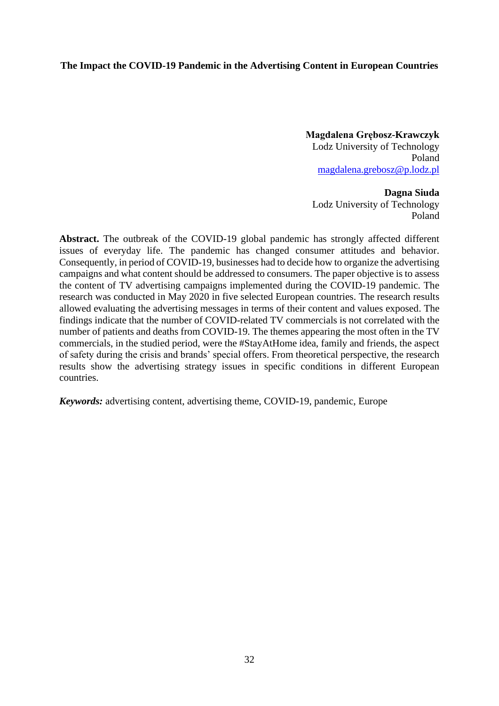# **The Impact the COVID-19 Pandemic in the Advertising Content in European Countries**

**Magdalena Grębosz-Krawczyk** Lodz University of Technology Poland [magdalena.grebosz@p.lodz.pl](mailto:magdalena.grebosz@p.lodz.pl)

**Dagna Siuda** Lodz University of Technology Poland

**Abstract.** The outbreak of the COVID-19 global pandemic has strongly affected different issues of everyday life. The pandemic has changed consumer attitudes and behavior. Consequently, in period of COVID-19, businesses had to decide how to organize the advertising campaigns and what content should be addressed to consumers. The paper objective is to assess the content of TV advertising campaigns implemented during the COVID-19 pandemic. The research was conducted in May 2020 in five selected European countries. The research results allowed evaluating the advertising messages in terms of their content and values exposed. The findings indicate that the number of COVID-related TV commercials is not correlated with the number of patients and deaths from COVID-19. The themes appearing the most often in the TV commercials, in the studied period, were the #StayAtHome idea, family and friends, the aspect of safety during the crisis and brands' special offers. From theoretical perspective, the research results show the advertising strategy issues in specific conditions in different European countries.

*Keywords:* advertising content, advertising theme, COVID-19, pandemic, Europe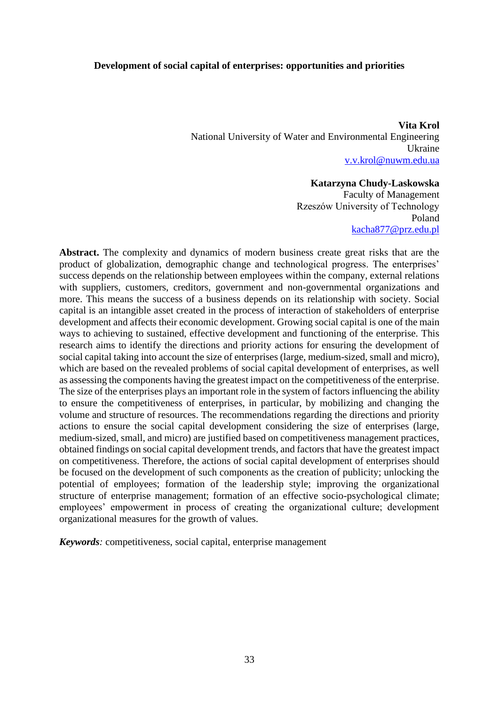#### **Development of social capital of enterprises: opportunities and priorities**

**Vita Krol** National University of Water and Environmental Engineering Ukraine [v.v.krol@nuwm.edu.ua](mailto:v.v.krol@nuwm.edu.ua)

#### **Katarzyna Chudy-Laskowska**

Faculty of Management Rzeszów University of Technology Poland [kacha877@prz.edu.pl](mailto:kacha877@prz.edu.pl)

**Abstract.** The complexity and dynamics of modern business create great risks that are the product of globalization, demographic change and technological progress. The enterprises' success depends on the relationship between employees within the company, external relations with suppliers, customers, creditors, government and non-governmental organizations and more. This means the success of a business depends on its relationship with society. Social capital is an intangible asset created in the process of interaction of stakeholders of enterprise development and affects their economic development. Growing social capital is one of the main ways to achieving to sustained, effective development and functioning of the enterprise. This research aims to identify the directions and priority actions for ensuring the development of social capital taking into account the size of enterprises (large, medium-sized, small and micro), which are based on the revealed problems of social capital development of enterprises, as well as assessing the components having the greatest impact on the competitiveness of the enterprise. The size of the enterprises plays an important role in the system of factors influencing the ability to ensure the competitiveness of enterprises, in particular, by mobilizing and changing the volume and structure of resources. The recommendations regarding the directions and priority actions to ensure the social capital development considering the size of enterprises (large, medium-sized, small, and micro) are justified based on competitiveness management practices, obtained findings on social capital development trends, and factors that have the greatest impact on competitiveness. Therefore, the actions of social capital development of enterprises should be focused on the development of such components as the creation of publicity; unlocking the potential of employees; formation of the leadership style; improving the organizational structure of enterprise management; formation of an effective socio-psychological climate; employees' empowerment in process of creating the organizational culture; development organizational measures for the growth of values.

*Keywords:* competitiveness, social capital, enterprise management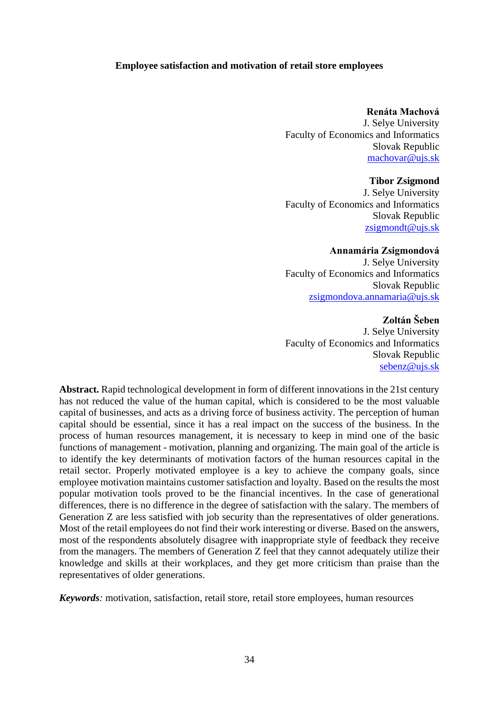### **Employee satisfaction and motivation of retail store employees**

#### **Renáta Machová**

J. Selye University Faculty of Economics and Informatics Slovak Republic [machovar@ujs.sk](mailto:machovar@ujs.sk)

#### **Tibor Zsigmond**

J. Selye University Faculty of Economics and Informatics Slovak Republic [zsigmondt@ujs.sk](mailto:zsigmondt@ujs.sk)

#### **Annamária Zsigmondová**

J. Selye University Faculty of Economics and Informatics Slovak Republic [zsigmondova.annamaria@ujs.sk](mailto:zsigmondova.annamaria@ujs.sk)

# **Zoltán Šeben**

J. Selye University Faculty of Economics and Informatics Slovak Republic [sebenz@ujs.sk](mailto:sebenz@ujs.sk)

**Abstract.** Rapid technological development in form of different innovations in the 21st century has not reduced the value of the human capital, which is considered to be the most valuable capital of businesses, and acts as a driving force of business activity. The perception of human capital should be essential, since it has a real impact on the success of the business. In the process of human resources management, it is necessary to keep in mind one of the basic functions of management - motivation, planning and organizing. The main goal of the article is to identify the key determinants of motivation factors of the human resources capital in the retail sector. Properly motivated employee is a key to achieve the company goals, since employee motivation maintains customer satisfaction and loyalty. Based on the results the most popular motivation tools proved to be the financial incentives. In the case of generational differences, there is no difference in the degree of satisfaction with the salary. The members of Generation Z are less satisfied with job security than the representatives of older generations. Most of the retail employees do not find their work interesting or diverse. Based on the answers, most of the respondents absolutely disagree with inappropriate style of feedback they receive from the managers. The members of Generation Z feel that they cannot adequately utilize their knowledge and skills at their workplaces, and they get more criticism than praise than the representatives of older generations.

*Keywords:* motivation, satisfaction, retail store, retail store employees, human resources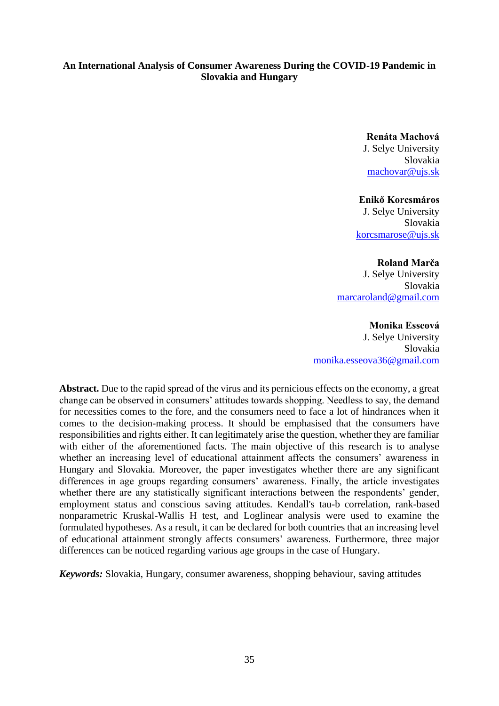# **An International Analysis of Consumer Awareness During the COVID-19 Pandemic in Slovakia and Hungary**

**Renáta Machová**

J. Selye University Slovakia [machovar@ujs.sk](mailto:machovar@ujs.sk)

#### **Enikő Korcsmáros**

J. Selye University Slovakia [korcsmarose@ujs.sk](mailto:korcsmarose@ujs.sk)

# **Roland Marča**

J. Selye University Slovakia [marcaroland@gmail.com](mailto:marcaroland@gmail.com)

#### **Monika Esseová**

J. Selye University Slovakia [monika.esseova36@gmail.com](mailto:monika.esseova36@gmail.com)

**Abstract.** Due to the rapid spread of the virus and its pernicious effects on the economy, a great change can be observed in consumers' attitudes towards shopping. Needless to say, the demand for necessities comes to the fore, and the consumers need to face a lot of hindrances when it comes to the decision-making process. It should be emphasised that the consumers have responsibilities and rights either. It can legitimately arise the question, whether they are familiar with either of the aforementioned facts. The main objective of this research is to analyse whether an increasing level of educational attainment affects the consumers' awareness in Hungary and Slovakia. Moreover, the paper investigates whether there are any significant differences in age groups regarding consumers' awareness. Finally, the article investigates whether there are any statistically significant interactions between the respondents' gender, employment status and conscious saving attitudes. Kendall's tau-b correlation, rank-based nonparametric Kruskal-Wallis H test, and Loglinear analysis were used to examine the formulated hypotheses. As a result, it can be declared for both countries that an increasing level of educational attainment strongly affects consumers' awareness. Furthermore, three major differences can be noticed regarding various age groups in the case of Hungary.

*Keywords:* Slovakia, Hungary, consumer awareness, shopping behaviour, saving attitudes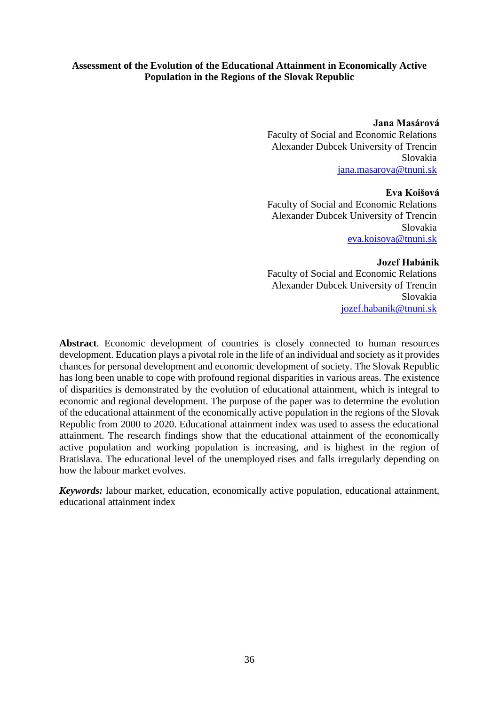**Jana Masárová**

Faculty of Social and Economic Relations Alexander Dubcek University of Trencin Slovakia [jana.masarova@tnuni.sk](mailto:jana.masarova@tnuni.sk)

#### **Eva Koišová**

Faculty of Social and Economic Relations Alexander Dubcek University of Trencin Slovakia eva.koisov[a@tnuni.sk](mailto:mail@mail.com)

### **Jozef Habánik**

Faculty of Social and Economic Relations Alexander Dubcek University of Trencin Slovakia [jozef.habanik@tnuni.sk](mailto:jozef.habanik@tnuni.sk)

**Abstract**. Economic development of countries is closely connected to human resources development. Education plays a pivotal role in the life of an individual and society as it provides chances for personal development and economic development of society. The Slovak Republic has long been unable to cope with profound regional disparities in various areas. The existence of disparities is demonstrated by the evolution of educational attainment, which is integral to economic and regional development. The purpose of the paper was to determine the evolution of the educational attainment of the economically active population in the regions of the Slovak Republic from 2000 to 2020. Educational attainment index was used to assess the educational attainment. The research findings show that the educational attainment of the economically active population and working population is increasing, and is highest in the region of Bratislava. The educational level of the unemployed rises and falls irregularly depending on how the labour market evolves.

*Keywords:* labour market, education, [economically active population,](https://ec.europa.eu/eurostat/statistics-explained/index.php?title=Glossary:Economically_active_population&redirect=no) educational attainment, educational attainment index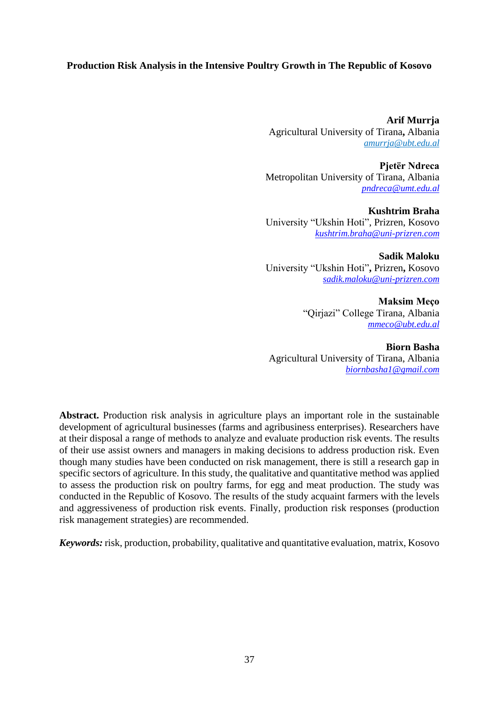# **Production Risk Analysis in the Intensive Poultry Growth in The Republic of Kosovo**

**Arif Murrja** Agricultural University of Tirana**,** Albania *[amurrja@ubt.edu.al](mailto:amurrja@ubt.edu.al)*

**Pjetër Ndreca** Metropolitan University of Tirana, Albania *[pndreca@umt.edu.al](mailto:pndreca@umt.edu.al)*

**Kushtrim Braha** University "Ukshin Hoti", Prizren, Kosovo *[kushtrim.braha@uni-prizren.com](mailto:kushtrim.braha@uni-prizren.com)*

**Sadik Maloku** University "Ukshin Hoti"**,** Prizren**,** Kosovo *[sadik.maloku@uni-prizren.com](mailto:sadik.maloku@uni-prizren.com)*

> **Maksim Meço** "Qirjazi" College Tirana, Albania *[mmeco@ubt.edu.al](mailto:mmeco@ubt.edu.al)*

**Biorn Basha** Agricultural University of Tirana, Albania *[biornbasha1@gmail.com](mailto:biornbasha1@gmail.com)*

**Abstract.** Production risk analysis in agriculture plays an important role in the sustainable development of agricultural businesses (farms and agribusiness enterprises). Researchers have at their disposal a range of methods to analyze and evaluate production risk events. The results of their use assist owners and managers in making decisions to address production risk. Even though many studies have been conducted on risk management, there is still a research gap in specific sectors of agriculture. In this study, the qualitative and quantitative method was applied to assess the production risk on poultry farms, for egg and meat production. The study was conducted in the Republic of Kosovo. The results of the study acquaint farmers with the levels and aggressiveness of production risk events. Finally, production risk responses (production risk management strategies) are recommended.

*Keywords:* risk, production, probability, qualitative and quantitative evaluation, matrix, Kosovo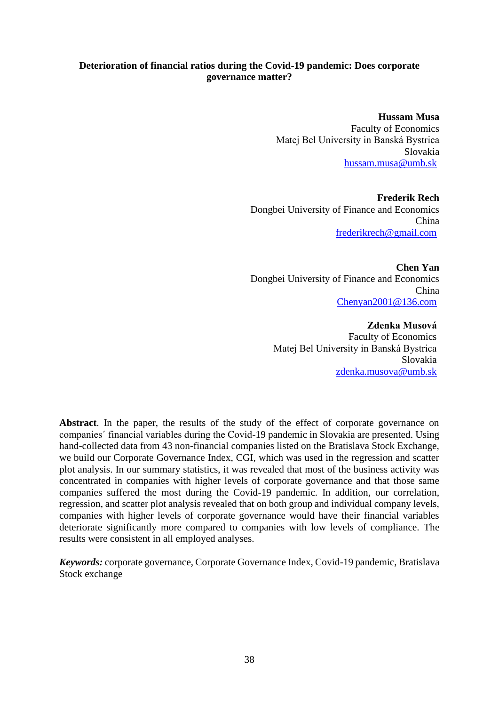# **Deterioration of financial ratios during the Covid-19 pandemic: Does corporate governance matter?**

**Hussam Musa** Faculty of Economics Matej Bel University in Banská Bystrica Slovakia [hussam.musa@umb.sk](mailto:hussam.musa@umb.sk) 

**Frederik Rech** Dongbei University of Finance and Economics China [frederikrech@gmail.com](mailto:frederikrech@gmail.com) 

**Chen Yan** Dongbei University of Finance and Economics China [Chenyan2001@136.com](mailto:Chenyan2001@136.com)

> **Zdenka Musová** Faculty of Economics Matej Bel University in Banská Bystrica Slovakia [zdenka.musova@umb.sk](mailto:zdenka.musova@umb.sk)

**Abstract**. In the paper, the results of the study of the effect of corporate governance on companies´ financial variables during the Covid-19 pandemic in Slovakia are presented. Using hand-collected data from 43 non-financial companies listed on the Bratislava Stock Exchange, we build our Corporate Governance Index, CGI, which was used in the regression and scatter plot analysis. In our summary statistics, it was revealed that most of the business activity was concentrated in companies with higher levels of corporate governance and that those same companies suffered the most during the Covid-19 pandemic. In addition, our correlation, regression, and scatter plot analysis revealed that on both group and individual company levels, companies with higher levels of corporate governance would have their financial variables deteriorate significantly more compared to companies with low levels of compliance. The results were consistent in all employed analyses.

*Keywords:* corporate governance, Corporate Governance Index, Covid-19 pandemic, Bratislava Stock exchange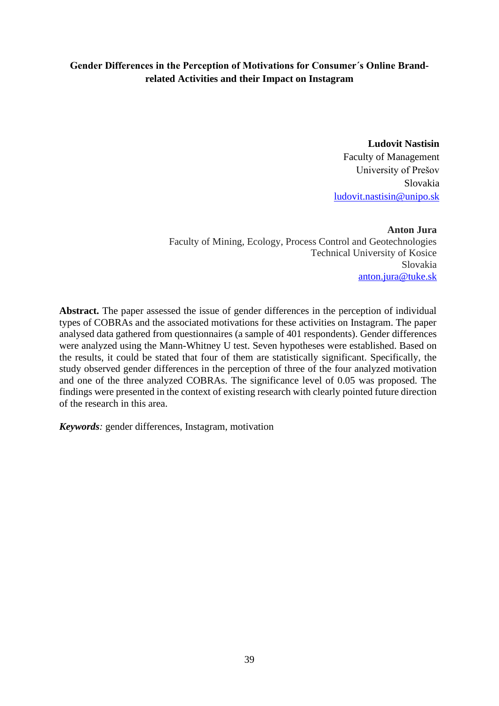# **Gender Differences in the Perception of Motivations for Consumer´s Online Brandrelated Activities and their Impact on Instagram**

**Ludovit Nastisin** Faculty of Management University of Prešov Slovakia [ludovit.nastisin@unipo.sk](mailto:ludovit.nastisin@unipo.sk)

**Anton Jura** Faculty of Mining, Ecology, Process Control and Geotechnologies Technical University of Kosice Slovakia [anton.jura@tuke.sk](mailto:anton.jura@tuke.sk)

Abstract. The paper assessed the issue of gender differences in the perception of individual types of COBRAs and the associated motivations for these activities on Instagram. The paper analysed data gathered from questionnaires (a sample of 401 respondents). Gender differences were analyzed using the Mann-Whitney U test. Seven hypotheses were established. Based on the results, it could be stated that four of them are statistically significant. Specifically, the study observed gender differences in the perception of three of the four analyzed motivation and one of the three analyzed COBRAs. The significance level of 0.05 was proposed. The findings were presented in the context of existing research with clearly pointed future direction of the research in this area.

*Keywords:* gender differences, Instagram, motivation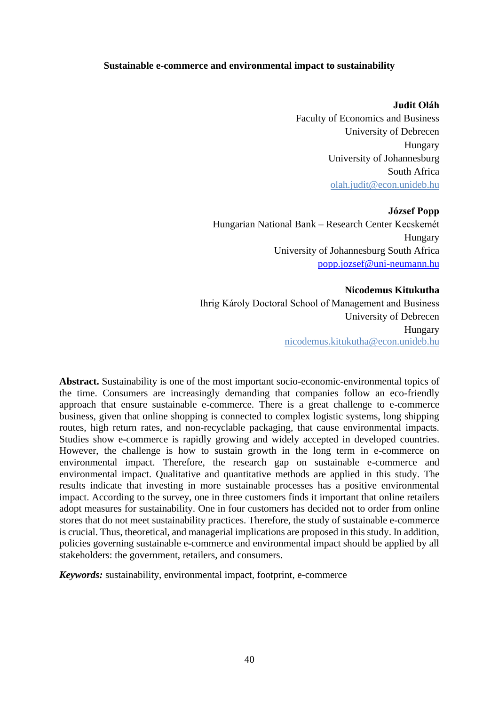### **Sustainable e-commerce and environmental impact to sustainability**

#### **Judit Oláh**

Faculty of Economics and Business University of Debrecen Hungary University of Johannesburg South Africa [olah.judit@econ.unideb.hu](mailto:olah.judit@econ.unideb.hu)

**József Popp**  Hungarian National Bank – Research Center Kecskemét Hungary University of Johannesburg South Africa [popp.jozsef@uni-neumann.hu](mailto:popp.jozsef@uni-neumann.hu)

#### **Nicodemus Kitukutha**

Ihrig Károly Doctoral School of Management and Business University of Debrecen Hungary nicodemus.kitukutha@econ.unideb.hu

**Abstract.** Sustainability is one of the most important socio-economic-environmental topics of the time. Consumers are increasingly demanding that companies follow an eco-friendly approach that ensure sustainable e-commerce. There is a great challenge to e-commerce business, given that online shopping is connected to complex logistic systems, long shipping routes, high return rates, and non-recyclable packaging, that cause environmental impacts. Studies show e-commerce is rapidly growing and widely accepted in developed countries. However, the challenge is how to sustain growth in the long term in e-commerce on environmental impact. Therefore, the research gap on sustainable e-commerce and environmental impact. Qualitative and quantitative methods are applied in this study. The results indicate that investing in more sustainable processes has a positive environmental impact. According to the survey, one in three customers finds it important that online retailers adopt measures for sustainability. One in four customers has decided not to order from online stores that do not meet sustainability practices. Therefore, the study of sustainable e-commerce is crucial. Thus, theoretical, and managerial implications are proposed in this study. In addition, policies governing sustainable e-commerce and environmental impact should be applied by all stakeholders: the government, retailers, and consumers.

*Keywords:* sustainability, environmental impact, footprint, e-commerce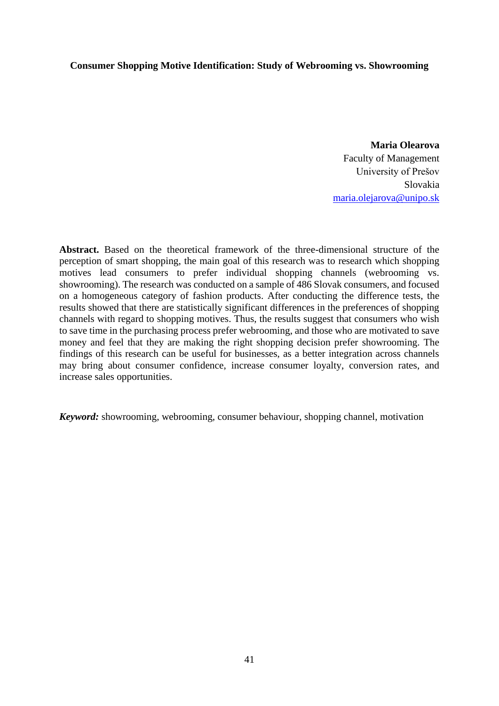### **Consumer Shopping Motive Identification: Study of Webrooming vs. Showrooming**

**Maria Olearova**  Faculty of Management University of Prešov Slovakia [maria.olejarova@unipo.sk](mailto:maria.olejarova@unipo.sk)

**Abstract.** Based on the theoretical framework of the three-dimensional structure of the perception of smart shopping, the main goal of this research was to research which shopping motives lead consumers to prefer individual shopping channels (webrooming vs. showrooming). The research was conducted on a sample of 486 Slovak consumers, and focused on a homogeneous category of fashion products. After conducting the difference tests, the results showed that there are statistically significant differences in the preferences of shopping channels with regard to shopping motives. Thus, the results suggest that consumers who wish to save time in the purchasing process prefer webrooming, and those who are motivated to save money and feel that they are making the right shopping decision prefer showrooming. The findings of this research can be useful for businesses, as a better integration across channels may bring about consumer confidence, increase consumer loyalty, conversion rates, and increase sales opportunities.

*Keyword:* showrooming, webrooming, consumer behaviour, shopping channel, motivation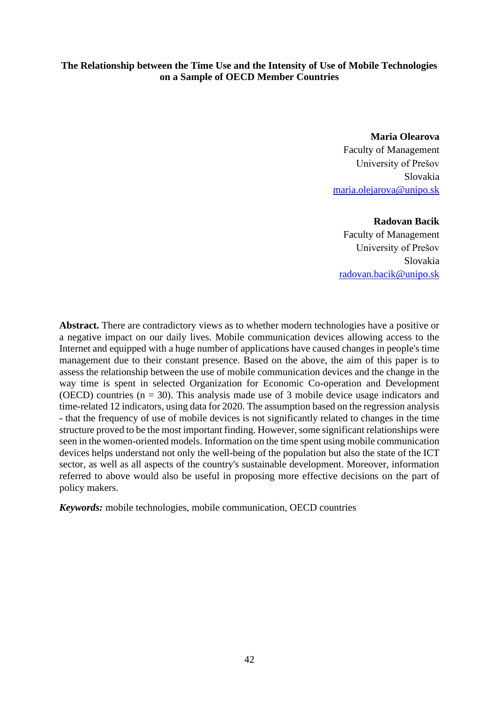# **The Relationship between the Time Use and the Intensity of Use of Mobile Technologies on a Sample of OECD Member Countries**

**Maria Olearova**  Faculty of Management University of Prešov Slovakia [maria.olejarova@unipo.sk](mailto:maria.olejarova@unipo.sk)

#### **Radovan Bacik**

Faculty of Management University of Prešov Slovakia [radovan.bacik@unipo.sk](mailto:radovan.bacik@unipo.sk)

**Abstract.** There are contradictory views as to whether modern technologies have a positive or a negative impact on our daily lives. Mobile communication devices allowing access to the Internet and equipped with a huge number of applications have caused changes in people's time management due to their constant presence. Based on the above, the aim of this paper is to assess the relationship between the use of mobile communication devices and the change in the way time is spent in selected Organization for Economic Co-operation and Development (OECD) countries  $(n = 30)$ . This analysis made use of 3 mobile device usage indicators and time-related 12 indicators, using data for 2020. The assumption based on the regression analysis - that the frequency of use of mobile devices is not significantly related to changes in the time structure proved to be the most important finding. However, some significant relationships were seen in the women-oriented models. Information on the time spent using mobile communication devices helps understand not only the well-being of the population but also the state of the ICT sector, as well as all aspects of the country's sustainable development. Moreover, information referred to above would also be useful in proposing more effective decisions on the part of policy makers.

*Keywords:* mobile technologies, mobile communication, OECD countries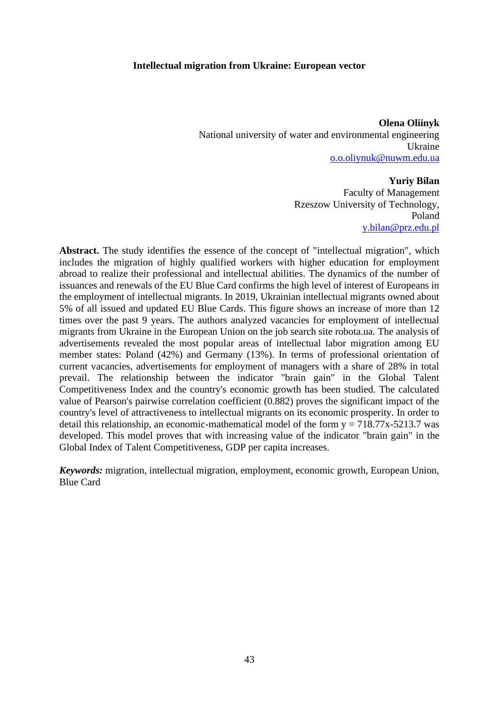#### **Intellectual migration from Ukraine: European vector**

**Olena Oliinyk** National university of water and environmental engineering Ukraine [o.o.oliynuk@nuwm.edu.ua](mailto:o.o.oliynuk@nuwm.edu.ua)

#### **Yuriy Bilan**

Faculty of Management Rzeszow University of Technology, Poland [y.bilan@prz.edu.pl](mailto:y.bilan@prz.edu.pl)

Abstract. The study identifies the essence of the concept of "intellectual migration", which includes the migration of highly qualified workers with higher education for employment abroad to realize their professional and intellectual abilities. The dynamics of the number of issuances and renewals of the EU Blue Card confirms the high level of interest of Europeans in the employment of intellectual migrants. In 2019, Ukrainian intellectual migrants owned about 5% of all issued and updated EU Blue Cards. This figure shows an increase of more than 12 times over the past 9 years. The authors analyzed vacancies for employment of intellectual migrants from Ukraine in the European Union on the job search site robota.ua. The analysis of advertisements revealed the most popular areas of intellectual labor migration among EU member states: Poland (42%) and Germany (13%). In terms of professional orientation of current vacancies, advertisements for employment of managers with a share of 28% in total prevail. The relationship between the indicator "brain gain" in the Global Talent Competitiveness Index and the country's economic growth has been studied. The calculated value of Pearson's pairwise correlation coefficient (0.882) proves the significant impact of the country's level of attractiveness to intellectual migrants on its economic prosperity. In order to detail this relationship, an economic-mathematical model of the form  $y = 718.77x-5213.7$  was developed. This model proves that with increasing value of the indicator "brain gain" in the Global Index of Talent Competitiveness, GDP per capita increases.

*Keywords:* migration, intellectual migration, employment, economic growth, European Union, Blue Card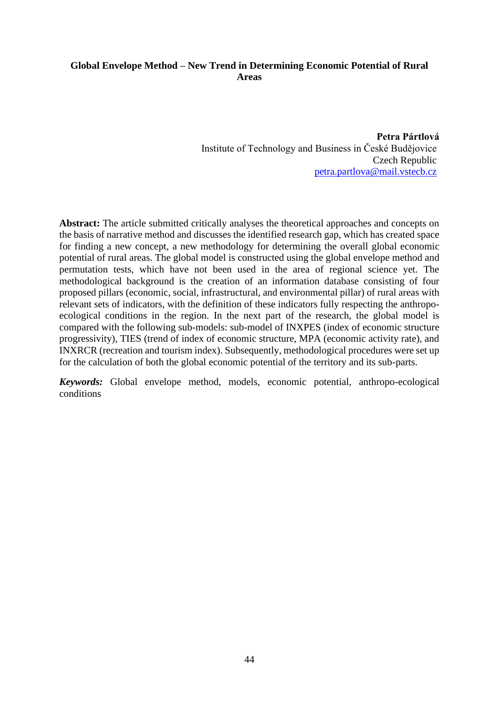# **Global Envelope Method – New Trend in Determining Economic Potential of Rural Areas**

**Petra Pártlová** Institute of Technology and Business in České Budějovice Czech Republic [petra.partlova@mail.vstecb.cz](mailto:petra.partlova@mail.vstecb.cz)

**Abstract:** The article submitted critically analyses the theoretical approaches and concepts on the basis of narrative method and discusses the identified research gap, which has created space for finding a new concept, a new methodology for determining the overall global economic potential of rural areas. The global model is constructed using the global envelope method and permutation tests, which have not been used in the area of regional science yet. The methodological background is the creation of an information database consisting of four proposed pillars (economic, social, infrastructural, and environmental pillar) of rural areas with relevant sets of indicators, with the definition of these indicators fully respecting the anthropoecological conditions in the region. In the next part of the research, the global model is compared with the following sub-models: sub-model of INXPES (index of economic structure progressivity), TIES (trend of index of economic structure, MPA (economic activity rate), and INXRCR (recreation and tourism index). Subsequently, methodological procedures were set up for the calculation of both the global economic potential of the territory and its sub-parts.

*Keywords:* Global envelope method, models, economic potential, anthropo-ecological conditions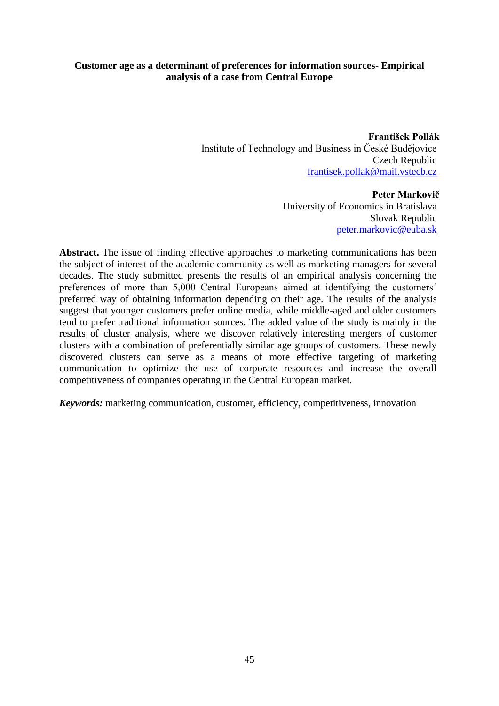# **Customer age as a determinant of preferences for information sources- Empirical analysis of a case from Central Europe**

**František Pollák** Institute of Technology and Business in České Budějovice Czech Republic [frantisek.pollak@mail.vstecb.cz](mailto:frantisek.pollak@mail.vstecb.cz)

> **Peter Markovič** University of Economics in Bratislava Slovak Republic [peter.markovic@euba.sk](mailto:peter.markovic@euba.sk)

Abstract. The issue of finding effective approaches to marketing communications has been the subject of interest of the academic community as well as marketing managers for several decades. The study submitted presents the results of an empirical analysis concerning the preferences of more than 5,000 Central Europeans aimed at identifying the customers´ preferred way of obtaining information depending on their age. The results of the analysis suggest that younger customers prefer online media, while middle-aged and older customers tend to prefer traditional information sources. The added value of the study is mainly in the results of cluster analysis, where we discover relatively interesting mergers of customer clusters with a combination of preferentially similar age groups of customers. These newly discovered clusters can serve as a means of more effective targeting of marketing communication to optimize the use of corporate resources and increase the overall competitiveness of companies operating in the Central European market.

*Keywords:* marketing communication, customer, efficiency, competitiveness, innovation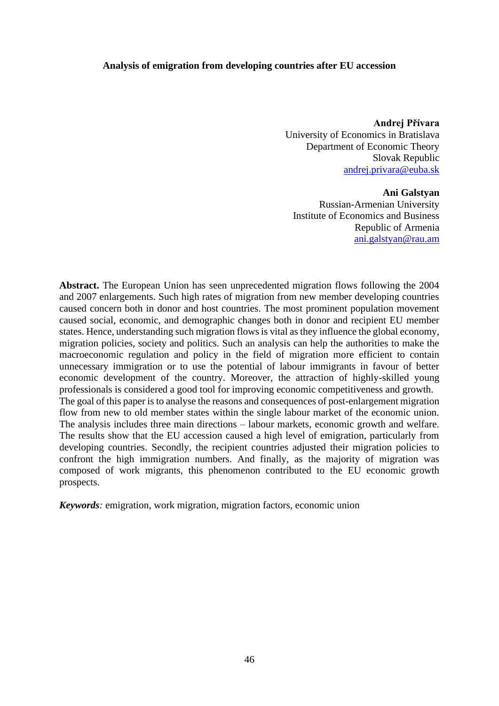#### **Analysis of emigration from developing countries after EU accession**

**Andrej Přívara**  University of Economics in Bratislava Department of Economic Theory Slovak Republic [andrej.privara@euba.sk](mailto:andrej.privara@euba.sk)

#### **Ani Galstyan**

Russian-Armenian University Institute of Economics and Business Republic of Armenia [ani.galstyan@rau.am](mailto:ani.galstyan@rau.am)

**Abstract.** The European Union has seen unprecedented migration flows following the 2004 and 2007 enlargements. Such high rates of migration from new member developing countries caused concern both in donor and host countries. The most prominent population movement caused social, economic, and demographic changes both in donor and recipient EU member states. Hence, understanding such migration flows is vital as they influence the global economy, migration policies, society and politics. Such an analysis can help the authorities to make the macroeconomic regulation and policy in the field of migration more efficient to contain unnecessary immigration or to use the potential of labour immigrants in favour of better economic development of the country. Moreover, the attraction of highly-skilled young professionals is considered a good tool for improving economic competitiveness and growth. The goal of this paper is to analyse the reasons and consequences of post-enlargement migration flow from new to old member states within the single labour market of the economic union. The analysis includes three main directions – labour markets, economic growth and welfare. The results show that the EU accession caused a high level of emigration, particularly from developing countries. Secondly, the recipient countries adjusted their migration policies to confront the high immigration numbers. And finally, as the majority of migration was composed of work migrants, this phenomenon contributed to the EU economic growth prospects.

*Keywords:* emigration, work migration, migration factors, economic union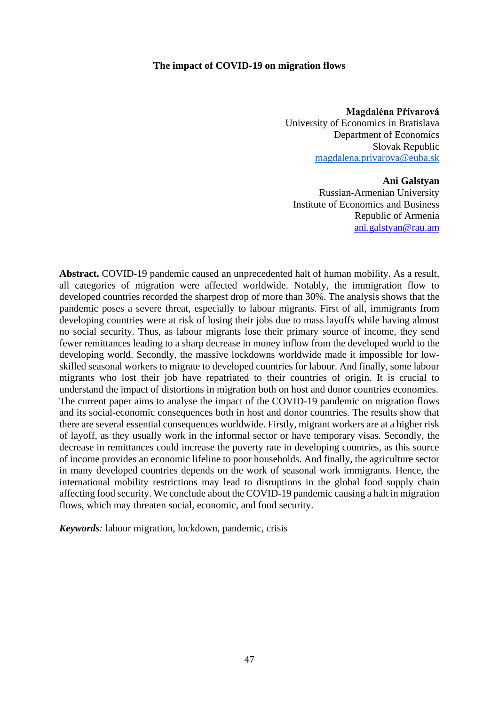#### **The impact of COVID-19 on migration flows**

**Magdaléna Přívarová**  University of Economics in Bratislava Department of Economics Slovak Republic [magdalena.privarova@euba.sk](mailto:magdalena.privarova@euba.sk)

#### **Ani Galstyan**

Russian-Armenian University Institute of Economics and Business Republic of Armenia [ani.galstyan@rau.am](mailto:ani.galstyan@rau.am)

**Abstract.** COVID-19 pandemic caused an unprecedented halt of human mobility. As a result, all categories of migration were affected worldwide. Notably, the immigration flow to developed countries recorded the sharpest drop of more than 30%. The analysis shows that the pandemic poses a severe threat, especially to labour migrants. First of all, immigrants from developing countries were at risk of losing their jobs due to mass layoffs while having almost no social security. Thus, as labour migrants lose their primary source of income, they send fewer remittances leading to a sharp decrease in money inflow from the developed world to the developing world. Secondly, the massive lockdowns worldwide made it impossible for lowskilled seasonal workers to migrate to developed countries for labour. And finally, some labour migrants who lost their job have repatriated to their countries of origin. It is crucial to understand the impact of distortions in migration both on host and donor countries economies. The current paper aims to analyse the impact of the COVID-19 pandemic on migration flows and its social-economic consequences both in host and donor countries. The results show that there are several essential consequences worldwide. Firstly, migrant workers are at a higher risk of layoff, as they usually work in the informal sector or have temporary visas. Secondly, the decrease in remittances could increase the poverty rate in developing countries, as this source of income provides an economic lifeline to poor households. And finally, the agriculture sector in many developed countries depends on the work of seasonal work immigrants. Hence, the international mobility restrictions may lead to disruptions in the global food supply chain affecting food security. We conclude about the COVID-19 pandemic causing a halt in migration flows, which may threaten social, economic, and food security.

*Keywords:* labour migration, lockdown, pandemic, crisis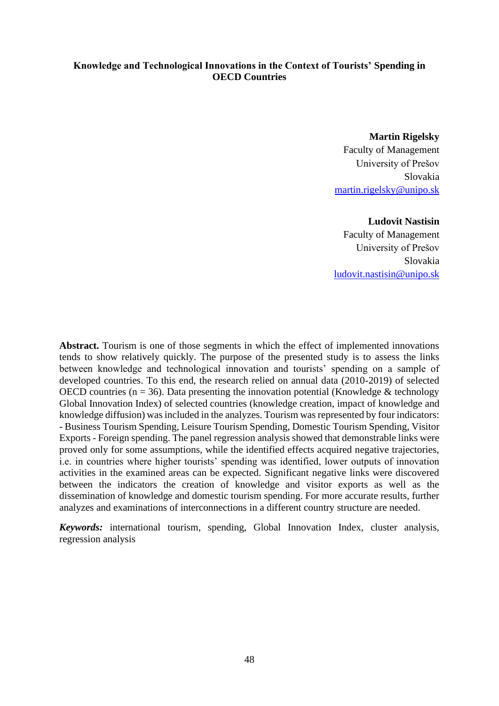# **Knowledge and Technological Innovations in the Context of Tourists' Spending in OECD Countries**

**Martin Rigelsky** Faculty of Management University of Prešov Slovakia [martin.rigelsky@unipo.sk](mailto:martin.rigelsky@unipo.sk)

#### **Ludovit Nastisin**

Faculty of Management University of Prešov Slovakia [ludovit.nastisin@unipo.sk](mailto:ludovit.nastisin@unipo.sk)

**Abstract.** Tourism is one of those segments in which the effect of implemented innovations tends to show relatively quickly. The purpose of the presented study is to assess the links between knowledge and technological innovation and tourists' spending on a sample of developed countries. To this end, the research relied on annual data (2010-2019) of selected OECD countries ( $n = 36$ ). Data presenting the innovation potential (Knowledge & technology Global Innovation Index) of selected countries (knowledge creation, impact of knowledge and knowledge diffusion) was included in the analyzes. Tourism was represented by four indicators: - Business Tourism Spending, Leisure Tourism Spending, Domestic Tourism Spending, Visitor Exports - Foreign spending. The panel regression analysis showed that demonstrable links were proved only for some assumptions, while the identified effects acquired negative trajectories, i.e. in countries where higher tourists' spending was identified, lower outputs of innovation activities in the examined areas can be expected. Significant negative links were discovered between the indicators the creation of knowledge and visitor exports as well as the dissemination of knowledge and domestic tourism spending. For more accurate results, further analyzes and examinations of interconnections in a different country structure are needed.

*Keywords:* international tourism, spending, Global Innovation Index, cluster analysis, regression analysis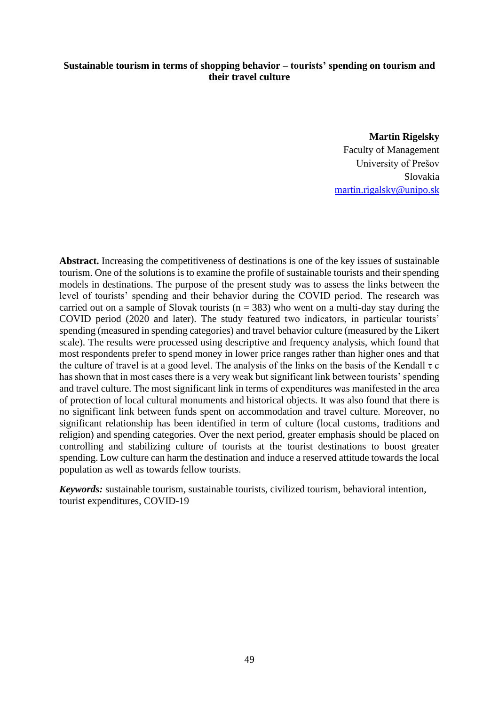# **Sustainable tourism in terms of shopping behavior – tourists' spending on tourism and their travel culture**

**Martin Rigelsky** Faculty of Management University of Prešov Slovakia [martin.rigalsky@unipo.sk](mailto:martin.rigalsky@unipo.sk)

**Abstract.** Increasing the competitiveness of destinations is one of the key issues of sustainable tourism. One of the solutions is to examine the profile of sustainable tourists and their spending models in destinations. The purpose of the present study was to assess the links between the level of tourists' spending and their behavior during the COVID period. The research was carried out on a sample of Slovak tourists ( $n = 383$ ) who went on a multi-day stay during the COVID period (2020 and later). The study featured two indicators, in particular tourists' spending (measured in spending categories) and travel behavior culture (measured by the Likert scale). The results were processed using descriptive and frequency analysis, which found that most respondents prefer to spend money in lower price ranges rather than higher ones and that the culture of travel is at a good level. The analysis of the links on the basis of the Kendall  $\tau$  c has shown that in most cases there is a very weak but significant link between tourists' spending and travel culture. The most significant link in terms of expenditures was manifested in the area of protection of local cultural monuments and historical objects. It was also found that there is no significant link between funds spent on accommodation and travel culture. Moreover, no significant relationship has been identified in term of culture (local customs, traditions and religion) and spending categories. Over the next period, greater emphasis should be placed on controlling and stabilizing culture of tourists at the tourist destinations to boost greater spending. Low culture can harm the destination and induce a reserved attitude towards the local population as well as towards fellow tourists.

*Keywords:* sustainable tourism, sustainable tourists, civilized tourism, behavioral intention, tourist expenditures, COVID-19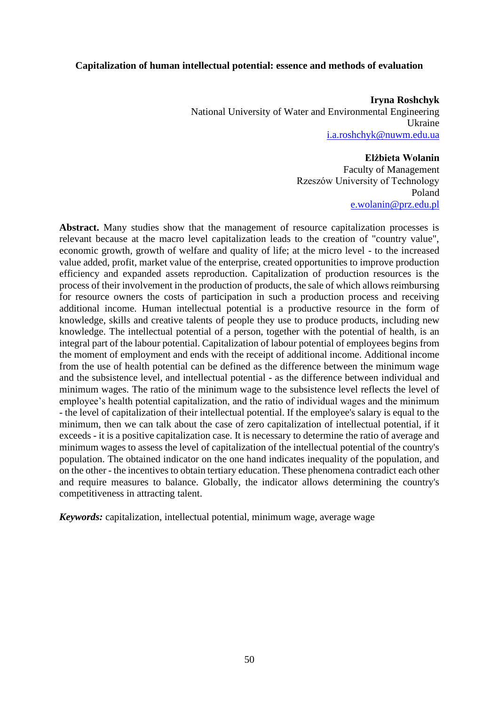#### **Capitalization of human intellectual potential: essence and methods of evaluation**

**Iryna Roshchyk**  National University of Water and Environmental Engineering Ukraine [i.a.roshchyk@nuwm.edu.ua](mailto:i.a.roshchyk@nuwm.edu.ua)

#### **Elżbieta Wolanin**

Faculty of Management Rzeszów University of Technology Poland [e.wolanin@prz.edu.pl](mailto:e.wolanin@prz.edu.pl)

**Abstract.** Many studies show that the management of resource capitalization processes is relevant because at the macro level capitalization leads to the creation of "country value", economic growth, growth of welfare and quality of life; at the micro level - to the increased value added, profit, market value of the enterprise, created opportunities to improve production efficiency and expanded assets reproduction. Capitalization of production resources is the process of their involvement in the production of products, the sale of which allows reimbursing for resource owners the costs of participation in such a production process and receiving additional income. Human intellectual potential is a productive resource in the form of knowledge, skills and creative talents of people they use to produce products, including new knowledge. The intellectual potential of a person, together with the potential of health, is an integral part of the labour potential. Capitalization of labour potential of employees begins from the moment of employment and ends with the receipt of additional income. Additional income from the use of health potential can be defined as the difference between the minimum wage and the subsistence level, and intellectual potential - as the difference between individual and minimum wages. The ratio of the minimum wage to the subsistence level reflects the level of employee's health potential capitalization, and the ratio of individual wages and the minimum - the level of capitalization of their intellectual potential. If the employee's salary is equal to the minimum, then we can talk about the case of zero capitalization of intellectual potential, if it exceeds - it is a positive capitalization case. It is necessary to determine the ratio of average and minimum wages to assess the level of capitalization of the intellectual potential of the country's population. The obtained indicator on the one hand indicates inequality of the population, and on the other - the incentives to obtain tertiary education. These phenomena contradict each other and require measures to balance. Globally, the indicator allows determining the country's competitiveness in attracting talent.

*Keywords:* capitalization, intellectual potential, minimum wage, average wage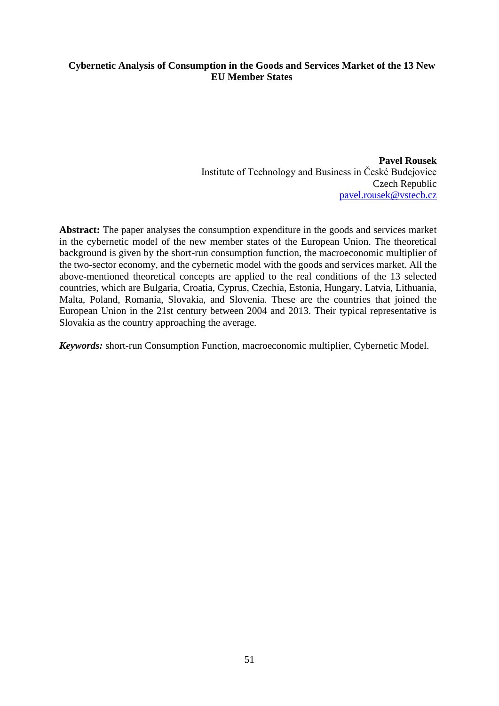# **Cybernetic Analysis of Consumption in the Goods and Services Market of the 13 New EU Member States**

**Pavel Rousek** Institute of Technology and Business in České Budejovice Czech Republic [pavel.rousek@vstecb.cz](mailto:pavel.rousek@vstecb.cz)

**Abstract:** The paper analyses the consumption expenditure in the goods and services market in the cybernetic model of the new member states of the European Union. The theoretical background is given by the short-run consumption function, the macroeconomic multiplier of the two-sector economy, and the cybernetic model with the goods and services market. All the above-mentioned theoretical concepts are applied to the real conditions of the 13 selected countries, which are Bulgaria, Croatia, Cyprus, Czechia, Estonia, Hungary, Latvia, Lithuania, Malta, Poland, Romania, Slovakia, and Slovenia. These are the countries that joined the European Union in the 21st century between 2004 and 2013. Their typical representative is Slovakia as the country approaching the average.

*Keywords:* short-run Consumption Function, macroeconomic multiplier, Cybernetic Model.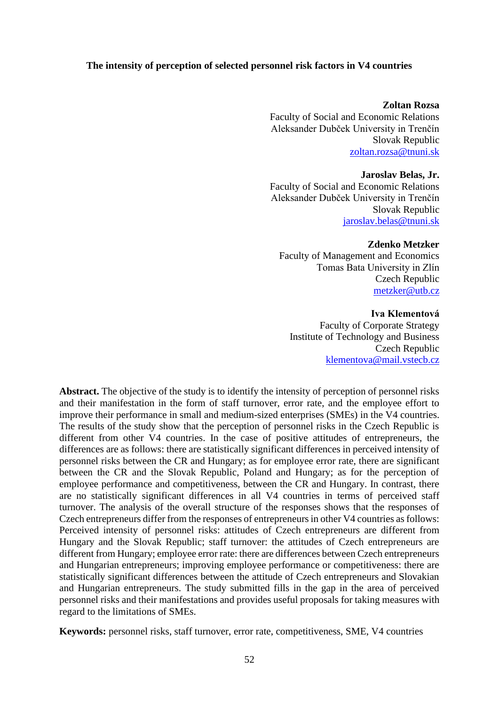#### **The intensity of perception of selected personnel risk factors in V4 countries**

#### **Zoltan Rozsa**

Faculty of Social and Economic Relations Aleksander Dubček University in Trenčín Slovak Republic [zoltan.rozsa@tnuni.sk](mailto:zoltan.rozsa@tnuni.sk)

#### **Jaroslav Belas, Jr.**

Faculty of Social and Economic Relations Aleksander Dubček University in Trenčín Slovak Republic [jaroslav.belas@tnuni.sk](mailto:jaroslav.belas@tnuni.sk) 

#### **Zdenko Metzker**

Faculty of Management and Economics Tomas Bata University in Zlín Czech Republic [metzker@utb.cz](mailto:metzker@utb.cz)

#### **Iva Klementová**

Faculty of Corporate Strategy Institute of Technology and Business Czech Republic [klementova@mail.vstecb.cz](mailto:klementova@mail.vstecb.cz)

**Abstract.** The objective of the study is to identify the intensity of perception of personnel risks and their manifestation in the form of staff turnover, error rate, and the employee effort to improve their performance in small and medium-sized enterprises (SMEs) in the V4 countries. The results of the study show that the perception of personnel risks in the Czech Republic is different from other V4 countries. In the case of positive attitudes of entrepreneurs, the differences are as follows: there are statistically significant differences in perceived intensity of personnel risks between the CR and Hungary; as for employee error rate, there are significant between the CR and the Slovak Republic, Poland and Hungary; as for the perception of employee performance and competitiveness, between the CR and Hungary. In contrast, there are no statistically significant differences in all V4 countries in terms of perceived staff turnover. The analysis of the overall structure of the responses shows that the responses of Czech entrepreneurs differ from the responses of entrepreneurs in other V4 countries as follows: Perceived intensity of personnel risks: attitudes of Czech entrepreneurs are different from Hungary and the Slovak Republic; staff turnover: the attitudes of Czech entrepreneurs are different from Hungary; employee error rate: there are differences between Czech entrepreneurs and Hungarian entrepreneurs; improving employee performance or competitiveness: there are statistically significant differences between the attitude of Czech entrepreneurs and Slovakian and Hungarian entrepreneurs. The study submitted fills in the gap in the area of perceived personnel risks and their manifestations and provides useful proposals for taking measures with regard to the limitations of SMEs.

**Keywords:** personnel risks, staff turnover, error rate, competitiveness, SME, V4 countries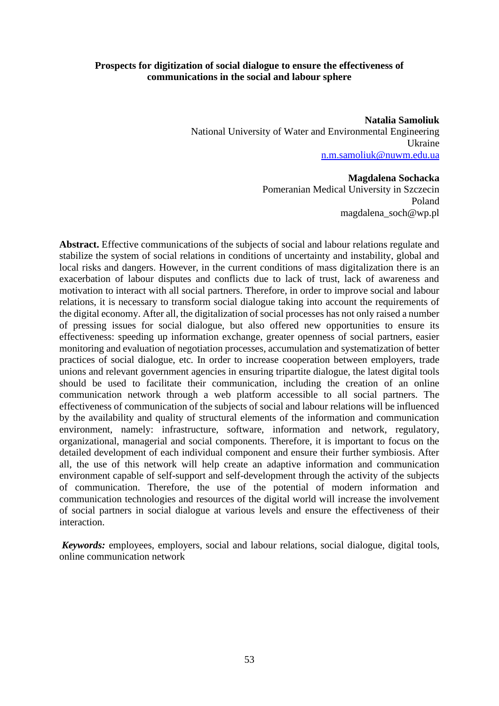# **Prospects for digitization of social dialogue to ensure the effectiveness of communications in the social and labour sphere**

**Natalia Samoliuk**  National University of Water and Environmental Engineering Ukraine [n.m.samoliuk@nuwm.edu.ua](mailto:n.m.samoliuk@nuwm.edu.ua)

#### **Magdalena Sochacka**

Pomeranian Medical University in Szczecin Poland magdalena\_soch@wp.pl

**Abstract.** Effective communications of the subjects of social and labour relations regulate and stabilize the system of social relations in conditions of uncertainty and instability, global and local risks and dangers. However, in the current conditions of mass digitalization there is an exacerbation of labour disputes and conflicts due to lack of trust, lack of awareness and motivation to interact with all social partners. Therefore, in order to improve social and labour relations, it is necessary to transform social dialogue taking into account the requirements of the digital economy. After all, the digitalization of social processes has not only raised a number of pressing issues for social dialogue, but also offered new opportunities to ensure its effectiveness: speeding up information exchange, greater openness of social partners, easier monitoring and evaluation of negotiation processes, accumulation and systematization of better practices of social dialogue, etc. In order to increase cooperation between employers, trade unions and relevant government agencies in ensuring tripartite dialogue, the latest digital tools should be used to facilitate their communication, including the creation of an online communication network through a web platform accessible to all social partners. The effectiveness of communication of the subjects of social and labour relations will be influenced by the availability and quality of structural elements of the information and communication environment, namely: infrastructure, software, information and network, regulatory, organizational, managerial and social components. Therefore, it is important to focus on the detailed development of each individual component and ensure their further symbiosis. After all, the use of this network will help create an adaptive information and communication environment capable of self-support and self-development through the activity of the subjects of communication. Therefore, the use of the potential of modern information and communication technologies and resources of the digital world will increase the involvement of social partners in social dialogue at various levels and ensure the effectiveness of their interaction.

*Keywords:* employees, employers, social and labour relations, social dialogue, digital tools, online communication network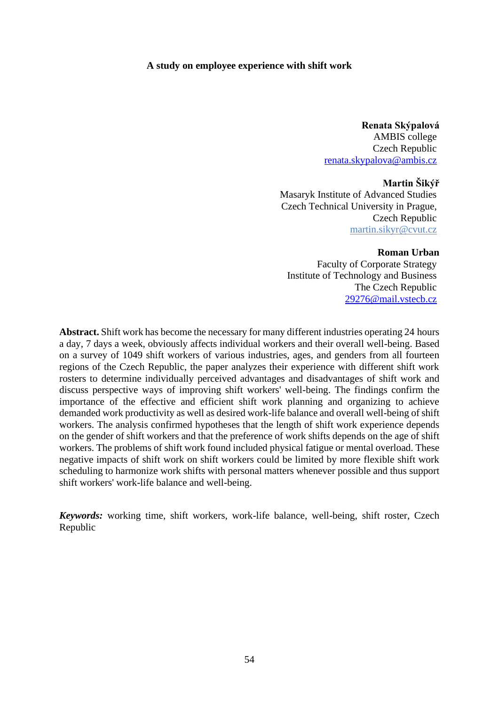#### **A study on employee experience with shift work**

**Renata Skýpalová** AMBIS college Czech Republic [renata.skypalova@ambis.cz](mailto:renata.skypalova@ambis.cz)

#### **Martin Šikýř**

Masaryk Institute of Advanced Studies Czech Technical University in Prague, Czech Republic [martin.sikyr@cvut.cz](mailto:martin.sikyr@cvut.cz)

#### **Roman Urban**

Faculty of Corporate Strategy Institute of Technology and Business The Czech Republic [29276@mail.vstecb.cz](mailto:29276@mail.vstecb.cz)

**Abstract.** Shift work has become the necessary for many different industries operating 24 hours a day, 7 days a week, obviously affects individual workers and their overall well-being. Based on a survey of 1049 shift workers of various industries, ages, and genders from all fourteen regions of the Czech Republic, the paper analyzes their experience with different shift work rosters to determine individually perceived advantages and disadvantages of shift work and discuss perspective ways of improving shift workers' well-being. The findings confirm the importance of the effective and efficient shift work planning and organizing to achieve demanded work productivity as well as desired work-life balance and overall well-being of shift workers. The analysis confirmed hypotheses that the length of shift work experience depends on the gender of shift workers and that the preference of work shifts depends on the age of shift workers. The problems of shift work found included physical fatigue or mental overload. These negative impacts of shift work on shift workers could be limited by more flexible shift work scheduling to harmonize work shifts with personal matters whenever possible and thus support shift workers' work-life balance and well-being.

*Keywords:* working time, shift workers, work-life balance, well-being, shift roster, Czech Republic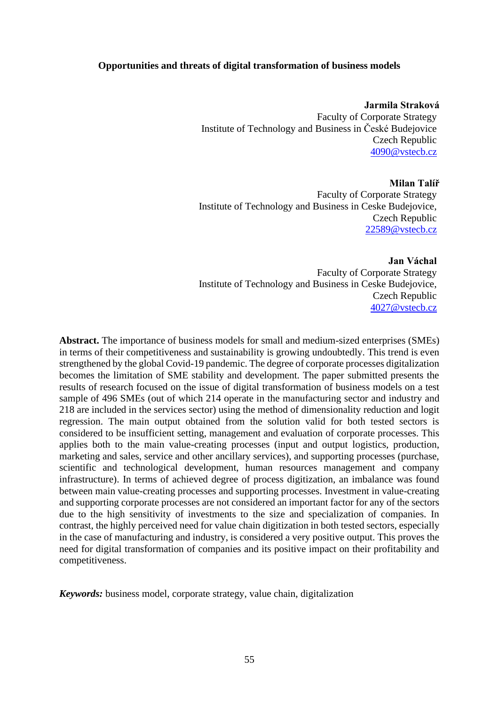### **Opportunities and threats of digital transformation of business models**

**Jarmila Straková** Faculty of Corporate Strategy Institute of Technology and Business in České Budejovice Czech Republic [4090@vstecb.cz](mailto:4090@vstecb.cz)

**Milan Talíř** Faculty of Corporate Strategy Institute of Technology and Business in Ceske Budejovice, Czech Republic [22589@vstecb.cz](mailto:22589@vstecb.cz)

**Jan Váchal** Faculty of Corporate Strategy Institute of Technology and Business in Ceske Budejovice, Czech Republic [4027@vstecb.cz](mailto:4027@vstecb.cz)

**Abstract.** The importance of business models for small and medium-sized enterprises (SMEs) in terms of their competitiveness and sustainability is growing undoubtedly. This trend is even strengthened by the global Covid-19 pandemic. The degree of corporate processes digitalization becomes the limitation of SME stability and development. The paper submitted presents the results of research focused on the issue of digital transformation of business models on a test sample of 496 SMEs (out of which 214 operate in the manufacturing sector and industry and 218 are included in the services sector) using the method of dimensionality reduction and logit regression. The main output obtained from the solution valid for both tested sectors is considered to be insufficient setting, management and evaluation of corporate processes. This applies both to the main value-creating processes (input and output logistics, production, marketing and sales, service and other ancillary services), and supporting processes (purchase, scientific and technological development, human resources management and company infrastructure). In terms of achieved degree of process digitization, an imbalance was found between main value-creating processes and supporting processes. Investment in value-creating and supporting corporate processes are not considered an important factor for any of the sectors due to the high sensitivity of investments to the size and specialization of companies. In contrast, the highly perceived need for value chain digitization in both tested sectors, especially in the case of manufacturing and industry, is considered a very positive output. This proves the need for digital transformation of companies and its positive impact on their profitability and competitiveness.

*Keywords:* business model, corporate strategy, value chain, digitalization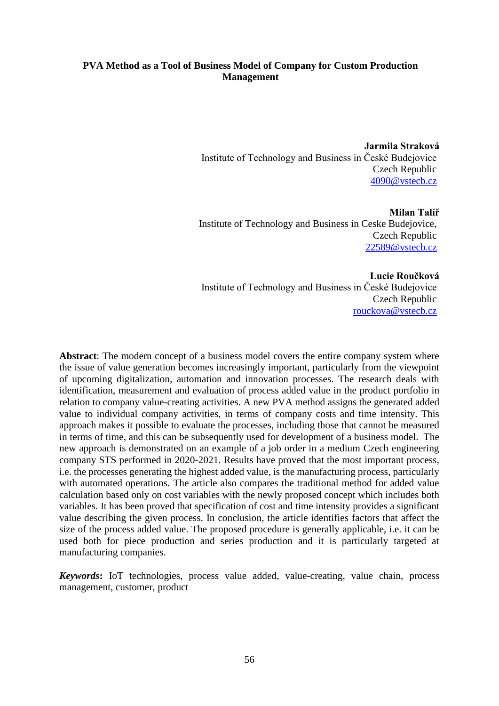# **PVA Method as a Tool of Business Model of Company for Custom Production Management**

**Jarmila Straková** Institute of Technology and Business in České Budejovice Czech Republic [4090@vstecb.cz](mailto:4090@vstecb.cz) 

**Milan Talíř** Institute of Technology and Business in Ceske Budejovice, Czech Republic [22589@vstecb.cz](mailto:22589@vstecb.cz)

**Lucie Roučková** Institute of Technology and Business in České Budejovice Czech Republic [rouckova@vstecb.cz](mailto:rouckova@vstecb.cz) 

**Abstract**: The modern concept of a business model covers the entire company system where the issue of value generation becomes increasingly important, particularly from the viewpoint of upcoming digitalization, automation and innovation processes. The research deals with identification, measurement and evaluation of process added value in the product portfolio in relation to company value-creating activities. A new PVA method assigns the generated added value to individual company activities, in terms of company costs and time intensity. This approach makes it possible to evaluate the processes, including those that cannot be measured in terms of time, and this can be subsequently used for development of a business model. The new approach is demonstrated on an example of a job order in a medium Czech engineering company STS performed in 2020-2021. Results have proved that the most important process, i.e. the processes generating the highest added value, is the manufacturing process, particularly with automated operations. The article also compares the traditional method for added value calculation based only on cost variables with the newly proposed concept which includes both variables. It has been proved that specification of cost and time intensity provides a significant value describing the given process. In conclusion, the article identifies factors that affect the size of the process added value. The proposed procedure is generally applicable, i.e. it can be used both for piece production and series production and it is particularly targeted at manufacturing companies.

*Keywords***:** IoT technologies, process value added, value-creating, value chain, process management, customer, product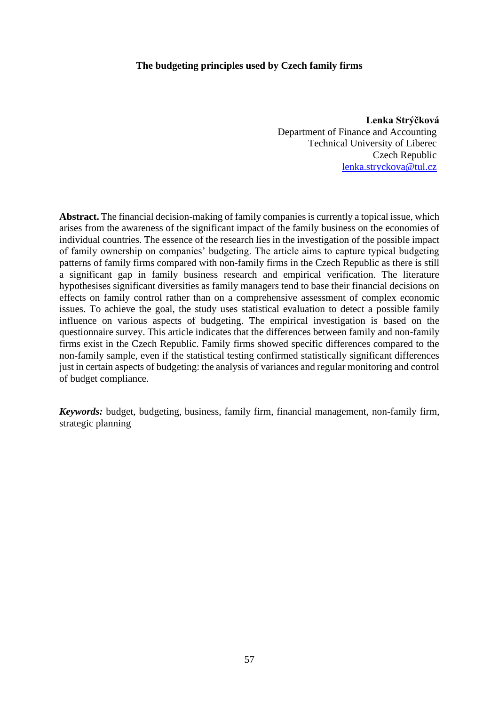### **The budgeting principles used by Czech family firms**

**Lenka Strýčková** Department of Finance and Accounting Technical University of Liberec Czech Republic [lenka.stryckova@tul.cz](mailto:lenka.stryckova@tul.cz)

**Abstract.** The financial decision-making of family companies is currently a topical issue, which arises from the awareness of the significant impact of the family business on the economies of individual countries. The essence of the research lies in the investigation of the possible impact of family ownership on companies' budgeting. The article aims to capture typical budgeting patterns of family firms compared with non-family firms in the Czech Republic as there is still a significant gap in family business research and empirical verification. The literature hypothesises significant diversities as family managers tend to base their financial decisions on effects on family control rather than on a comprehensive assessment of complex economic issues. To achieve the goal, the study uses statistical evaluation to detect a possible family influence on various aspects of budgeting. The empirical investigation is based on the questionnaire survey. This article indicates that the differences between family and non-family firms exist in the Czech Republic. Family firms showed specific differences compared to the non-family sample, even if the statistical testing confirmed statistically significant differences just in certain aspects of budgeting: the analysis of variances and regular monitoring and control of budget compliance.

*Keywords:* budget, budgeting, business, family firm, financial management, non-family firm, strategic planning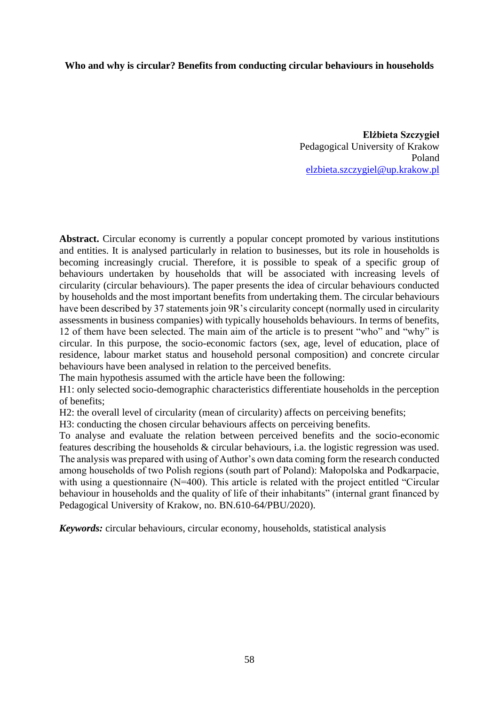### **Who and why is circular? Benefits from conducting circular behaviours in households**

**Elżbieta Szczygieł**  Pedagogical University of Krakow Poland [elzbieta.szczygiel@up.krakow.pl](mailto:elzbieta.szczygiel@up.krakow.pl)

Abstract. Circular economy is currently a popular concept promoted by various institutions and entities. It is analysed particularly in relation to businesses, but its role in households is becoming increasingly crucial. Therefore, it is possible to speak of a specific group of behaviours undertaken by households that will be associated with increasing levels of circularity (circular behaviours). The paper presents the idea of circular behaviours conducted by households and the most important benefits from undertaking them. The circular behaviours have been described by 37 statements join 9R's circularity concept (normally used in circularity assessments in business companies) with typically households behaviours. In terms of benefits, 12 of them have been selected. The main aim of the article is to present "who" and "why" is circular. In this purpose, the socio-economic factors (sex, age, level of education, place of residence, labour market status and household personal composition) and concrete circular behaviours have been analysed in relation to the perceived benefits.

The main hypothesis assumed with the article have been the following:

H1: only selected socio-demographic characteristics differentiate households in the perception of benefits;

H2: the overall level of circularity (mean of circularity) affects on perceiving benefits;

H3: conducting the chosen circular behaviours affects on perceiving benefits.

To analyse and evaluate the relation between perceived benefits and the socio-economic features describing the households & circular behaviours, i.a. the logistic regression was used. The analysis was prepared with using of Author's own data coming form the research conducted among households of two Polish regions (south part of Poland): Małopolska and Podkarpacie, with using a questionnaire (N=400). This article is related with the project entitled "Circular behaviour in households and the quality of life of their inhabitants" (internal grant financed by Pedagogical University of Krakow, no. BN.610-64/PBU/2020).

*Keywords:* circular behaviours, circular economy, households, statistical analysis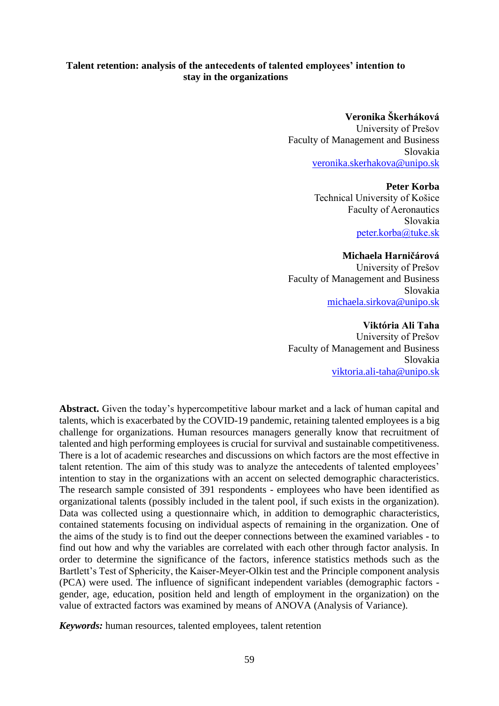# **Talent retention: analysis of the antecedents of talented employees' intention to stay in the organizations**

### **Veronika Škerháková**

University of Prešov Faculty of Management and Business Slovakia [veronika.skerhakova@unipo.sk](mailto:veronika.skerhakova@unipo.sk)

#### **Peter Korba**

Technical University of Košice Faculty of Aeronautics Slovakia [peter.korba@tuke.sk](mailto:peter.korba@tuke.sk)

### **Michaela Harničárová**

University of Prešov Faculty of Management and Business Slovakia [michaela.sirkova@unipo.sk](mailto:michaela.sirkova@unipo.sk)

#### **Viktória Ali Taha**

University of Prešov Faculty of Management and Business Slovakia [viktoria.ali-taha@unipo.sk](mailto:viktoria.ali-taha@unipo.sk)

**Abstract.** Given the today's hypercompetitive labour market and a lack of human capital and talents, which is exacerbated by the COVID-19 pandemic, retaining talented employees is a big challenge for organizations. Human resources managers generally know that recruitment of talented and high performing employees is crucial for survival and sustainable competitiveness. There is a lot of academic researches and discussions on which factors are the most effective in talent retention. The aim of this study was to analyze the antecedents of talented employees' intention to stay in the organizations with an accent on selected demographic characteristics. The research sample consisted of 391 respondents - employees who have been identified as organizational talents (possibly included in the talent pool, if such exists in the organization). Data was collected using a questionnaire which, in addition to demographic characteristics, contained statements focusing on individual aspects of remaining in the organization. One of the aims of the study is to find out the deeper connections between the examined variables - to find out how and why the variables are correlated with each other through factor analysis. In order to determine the significance of the factors, inference statistics methods such as the Bartlett's Test of Sphericity, the Kaiser-Meyer-Olkin test and the Principle component analysis (PCA) were used. The influence of significant independent variables (demographic factors gender, age, education, position held and length of employment in the organization) on the value of extracted factors was examined by means of ANOVA (Analysis of Variance).

*Keywords:* human resources, talented employees, talent retention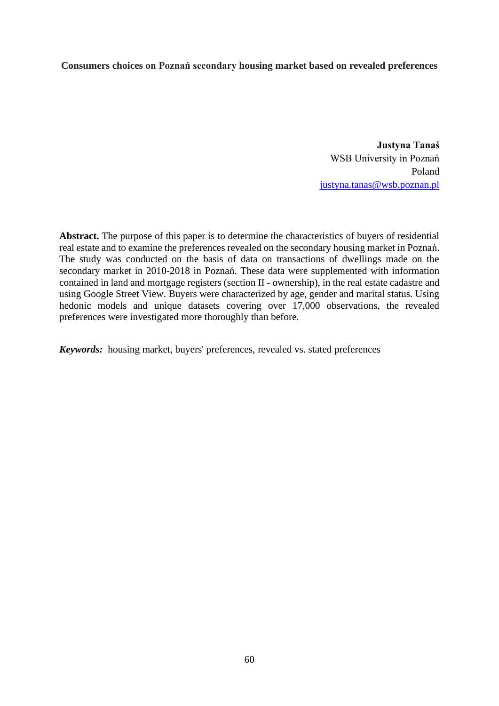# **Consumers choices on Poznań secondary housing market based on revealed preferences**

**Justyna Tanaś** WSB University in Poznań Poland [justyna.tanas@wsb.poznan.pl](mailto:justyna.tanas@wsb.poznan.pl)

**Abstract.** The purpose of this paper is to determine the characteristics of buyers of residential real estate and to examine the preferences revealed on the secondary housing market in Poznań. The study was conducted on the basis of data on transactions of dwellings made on the secondary market in 2010-2018 in Poznań. These data were supplemented with information contained in land and mortgage registers (section II - ownership), in the real estate cadastre and using Google Street View. Buyers were characterized by age, gender and marital status. Using hedonic models and unique datasets covering over 17,000 observations, the revealed preferences were investigated more thoroughly than before.

*Keywords:* housing market, buyers' preferences, revealed vs. stated preferences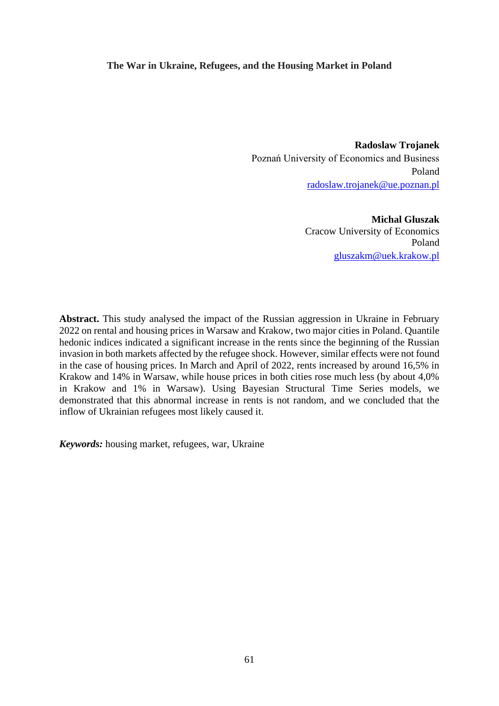#### **The War in Ukraine, Refugees, and the Housing Market in Poland**

**Radoslaw Trojanek** Poznań University of Economics and Business Poland [radoslaw.trojanek@ue.poznan.pl](mailto:radoslaw.trojanek@ue.poznan.pl)

> **Michal Gluszak** Cracow University of Economics Poland [gluszakm@uek.krakow.pl](mailto:gluszakm@uek.krakow.pl)

**Abstract.** This study analysed the impact of the Russian aggression in Ukraine in February 2022 on rental and housing prices in Warsaw and Krakow, two major cities in Poland. Quantile hedonic indices indicated a significant increase in the rents since the beginning of the Russian invasion in both markets affected by the refugee shock. However, similar effects were not found in the case of housing prices. In March and April of 2022, rents increased by around 16,5% in Krakow and 14% in Warsaw, while house prices in both cities rose much less (by about 4,0% in Krakow and 1% in Warsaw). Using Bayesian Structural Time Series models, we demonstrated that this abnormal increase in rents is not random, and we concluded that the inflow of Ukrainian refugees most likely caused it.

*Keywords:* housing market, refugees, war, Ukraine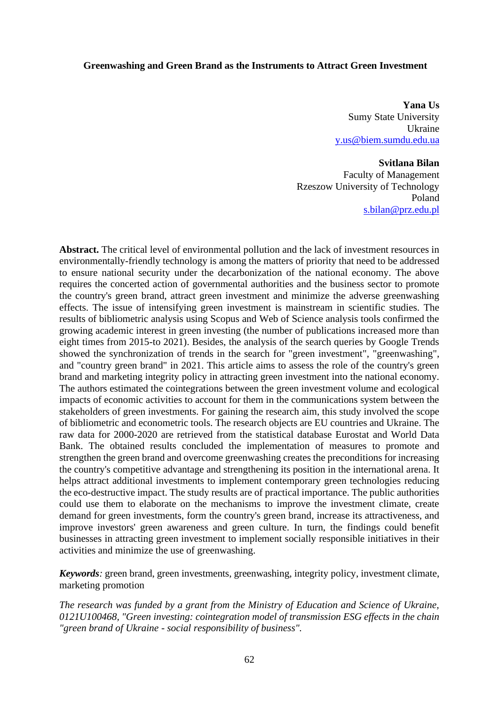#### **Greenwashing and Green Brand as the Instruments to Attract Green Investment**

**Yana Us** Sumy State University Ukraine [y.us@biem.sumdu.edu.ua](mailto:y.us@biem.sumdu.edu.ua)

#### **Svitlana Bilan**

Faculty of Management Rzeszow University of Technology Poland [s.bilan@prz.edu.pl](mailto:s.bilan@prz.edu.pl)

**Abstract.** The critical level of environmental pollution and the lack of investment resources in environmentally-friendly technology is among the matters of priority that need to be addressed to ensure national security under the decarbonization of the national economy. The above requires the concerted action of governmental authorities and the business sector to promote the country's green brand, attract green investment and minimize the adverse greenwashing effects. The issue of intensifying green investment is mainstream in scientific studies. The results of bibliometric analysis using Scopus and Web of Science analysis tools confirmed the growing academic interest in green investing (the number of publications increased more than eight times from 2015-to 2021). Besides, the analysis of the search queries by Google Trends showed the synchronization of trends in the search for "green investment", "greenwashing", and "country green brand" in 2021. This article aims to assess the role of the country's green brand and marketing integrity policy in attracting green investment into the national economy. The authors estimated the cointegrations between the green investment volume and ecological impacts of economic activities to account for them in the communications system between the stakeholders of green investments. For gaining the research aim, this study involved the scope of bibliometric and econometric tools. The research objects are EU countries and Ukraine. The raw data for 2000-2020 are retrieved from the statistical database Eurostat and World Data Bank. The obtained results concluded the implementation of measures to promote and strengthen the green brand and overcome greenwashing creates the preconditions for increasing the country's competitive advantage and strengthening its position in the international arena. It helps attract additional investments to implement contemporary green technologies reducing the eco-destructive impact. The study results are of practical importance. The public authorities could use them to elaborate on the mechanisms to improve the investment climate, create demand for green investments, form the country's green brand, increase its attractiveness, and improve investors' green awareness and green culture. In turn, the findings could benefit businesses in attracting green investment to implement socially responsible initiatives in their activities and minimize the use of greenwashing.

*Keywords:* green brand, green investments, greenwashing, integrity policy, investment climate, marketing promotion

*The research was funded by a grant from the Ministry of Education and Science of Ukraine, 0121U100468, "Green investing: cointegration model of transmission ESG effects in the chain "green brand of Ukraine - social responsibility of business".*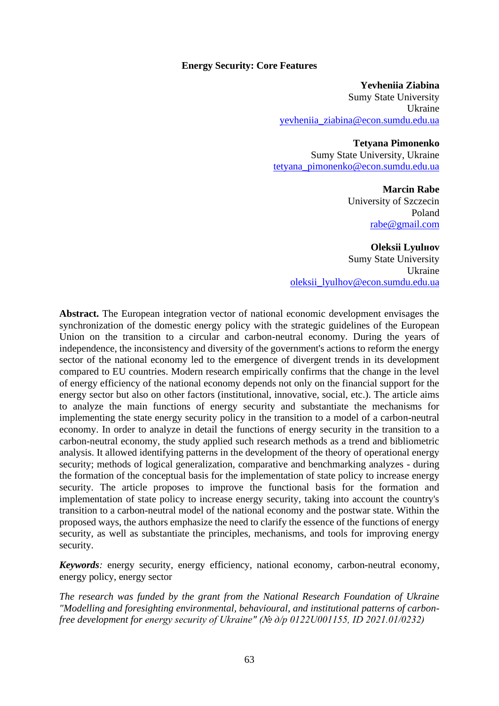#### **Energy Security: Core Features**

**Yevheniia Ziabina** Sumy State University Ukraine [yevheniia\\_ziabina@econ.sumdu.edu.ua](mailto:yevheniia_ziabina@econ.sumdu.edu.ua)

#### **Tetyana Pimonenko**

Sumy State University, Ukraine [tetyana\\_pimonenko@econ.sumdu.edu.ua](mailto:tetyana_pimonenko@econ.sumdu.edu.ua)

#### **Marcin Rabe**

University of Szczecin Poland [rabe@gmail.com](mailto:rabe@gmail.com)

**Oleksii Lyulнov** Sumy State University Ukraine [oleksii\\_lyulhov@econ.sumdu.edu.ua](mailto:oleksii_lyulhov@econ.sumdu.edu.ua)

**Abstract.** The European integration vector of national economic development envisages the synchronization of the domestic energy policy with the strategic guidelines of the European Union on the transition to a circular and carbon-neutral economy. During the years of independence, the inconsistency and diversity of the government's actions to reform the energy sector of the national economy led to the emergence of divergent trends in its development compared to EU countries. Modern research empirically confirms that the change in the level of energy efficiency of the national economy depends not only on the financial support for the energy sector but also on other factors (institutional, innovative, social, etc.). The article aims to analyze the main functions of energy security and substantiate the mechanisms for implementing the state energy security policy in the transition to a model of a carbon-neutral economy. In order to analyze in detail the functions of energy security in the transition to a carbon-neutral economy, the study applied such research methods as a trend and bibliometric analysis. It allowed identifying patterns in the development of the theory of operational energy security; methods of logical generalization, comparative and benchmarking analyzes - during the formation of the conceptual basis for the implementation of state policy to increase energy security. The article proposes to improve the functional basis for the formation and implementation of state policy to increase energy security, taking into account the country's transition to a carbon-neutral model of the national economy and the postwar state. Within the proposed ways, the authors emphasize the need to clarify the essence of the functions of energy security, as well as substantiate the principles, mechanisms, and tools for improving energy security.

*Keywords:* energy security, energy efficiency, national economy, carbon-neutral economy, energy policy, energy sector

*The research was funded by the grant from the National Research Foundation of Ukraine "Modelling and foresighting environmental, behavioural, and institutional patterns of carbonfree development for energy security of Ukraine" (№ д/р 0122U001155, ID 2021.01/0232)*